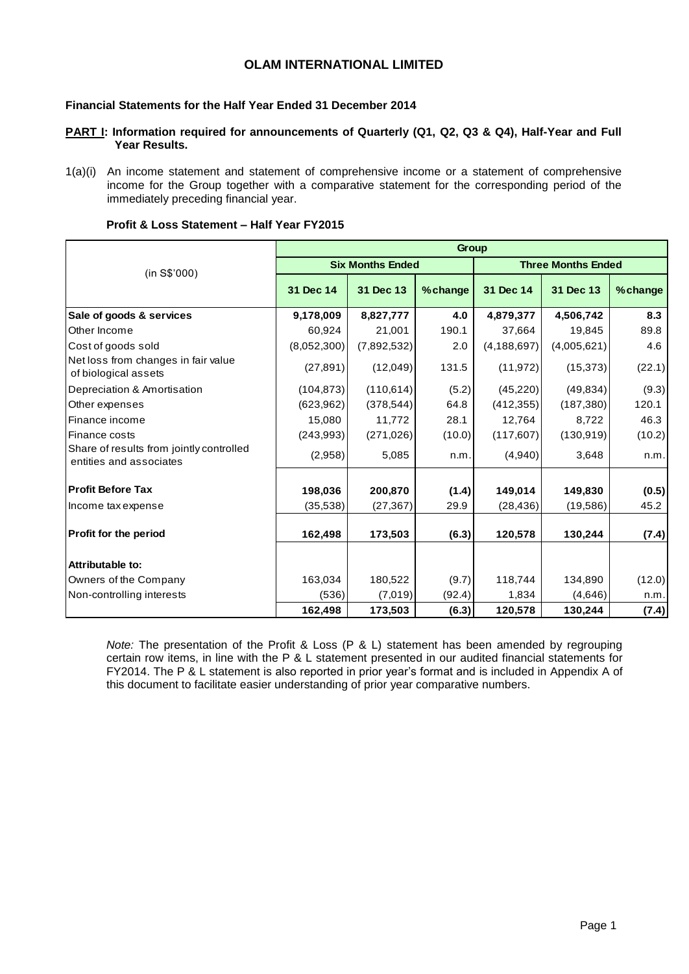## **OLAM INTERNATIONAL LIMITED**

### **Financial Statements for the Half Year Ended 31 December 2014**

#### **PART I: Information required for announcements of Quarterly (Q1, Q2, Q3 & Q4), Half-Year and Full Year Results.**

1(a)(i) An income statement and statement of comprehensive income or a statement of comprehensive income for the Group together with a comparative statement for the corresponding period of the immediately preceding financial year.

|                                                                     | Group       |                         |         |               |                           |         |  |  |  |  |  |
|---------------------------------------------------------------------|-------------|-------------------------|---------|---------------|---------------------------|---------|--|--|--|--|--|
| (in S\$'000)                                                        |             | <b>Six Months Ended</b> |         |               | <b>Three Months Ended</b> |         |  |  |  |  |  |
|                                                                     | 31 Dec 14   | 31 Dec 13               | %change | 31 Dec 14     | 31 Dec 13                 | %change |  |  |  |  |  |
| Sale of goods & services                                            | 9,178,009   | 8,827,777               | 4.0     | 4,879,377     | 4,506,742                 | 8.3     |  |  |  |  |  |
| Other Income                                                        | 60,924      | 21,001                  | 190.1   | 37,664        | 19,845                    | 89.8    |  |  |  |  |  |
| Cost of goods sold                                                  | (8,052,300) | (7,892,532)             | 2.0     | (4, 188, 697) | (4,005,621)               | 4.6     |  |  |  |  |  |
| Net loss from changes in fair value<br>of biological assets         | (27, 891)   | (12,049)                | 131.5   | (11, 972)     | (15, 373)                 | (22.1)  |  |  |  |  |  |
| Depreciation & Amortisation                                         | (104, 873)  | (110, 614)              | (5.2)   | (45, 220)     | (49, 834)                 | (9.3)   |  |  |  |  |  |
| Other expenses                                                      | (623, 962)  | (378, 544)              | 64.8    | (412, 355)    | (187, 380)                | 120.1   |  |  |  |  |  |
| Finance income                                                      | 15,080      | 11,772                  | 28.1    | 12,764        | 8,722                     | 46.3    |  |  |  |  |  |
| Finance costs                                                       | (243,993)   | (271, 026)              | (10.0)  | (117, 607)    | (130, 919)                | (10.2)  |  |  |  |  |  |
| Share of results from jointly controlled<br>entities and associates | (2,958)     | 5,085                   | n.m.    | (4,940)       | 3,648                     | n.m.    |  |  |  |  |  |
| <b>Profit Before Tax</b>                                            | 198,036     | 200,870                 | (1.4)   | 149,014       | 149,830                   | (0.5)   |  |  |  |  |  |
| Income tax expense                                                  | (35, 538)   | (27, 367)               | 29.9    | (28, 436)     | (19,586)                  | 45.2    |  |  |  |  |  |
| <b>Profit for the period</b>                                        | 162,498     | 173,503                 | (6.3)   | 120,578       | 130,244                   | (7.4)   |  |  |  |  |  |
| Attributable to:                                                    |             |                         |         |               |                           |         |  |  |  |  |  |
| Owners of the Company                                               | 163,034     | 180,522                 | (9.7)   | 118,744       | 134,890                   | (12.0)  |  |  |  |  |  |
| Non-controlling interests                                           | (536)       | (7,019)                 | (92.4)  | 1,834         | (4,646)                   | n.m.    |  |  |  |  |  |
|                                                                     | 162,498     | 173,503                 | (6.3)   | 120,578       | 130,244                   | (7.4)   |  |  |  |  |  |

#### **Profit & Loss Statement – Half Year FY2015**

*Note:* The presentation of the Profit & Loss (P & L) statement has been amended by regrouping certain row items, in line with the P & L statement presented in our audited financial statements for FY2014. The P & L statement is also reported in prior year's format and is included in Appendix A of this document to facilitate easier understanding of prior year comparative numbers.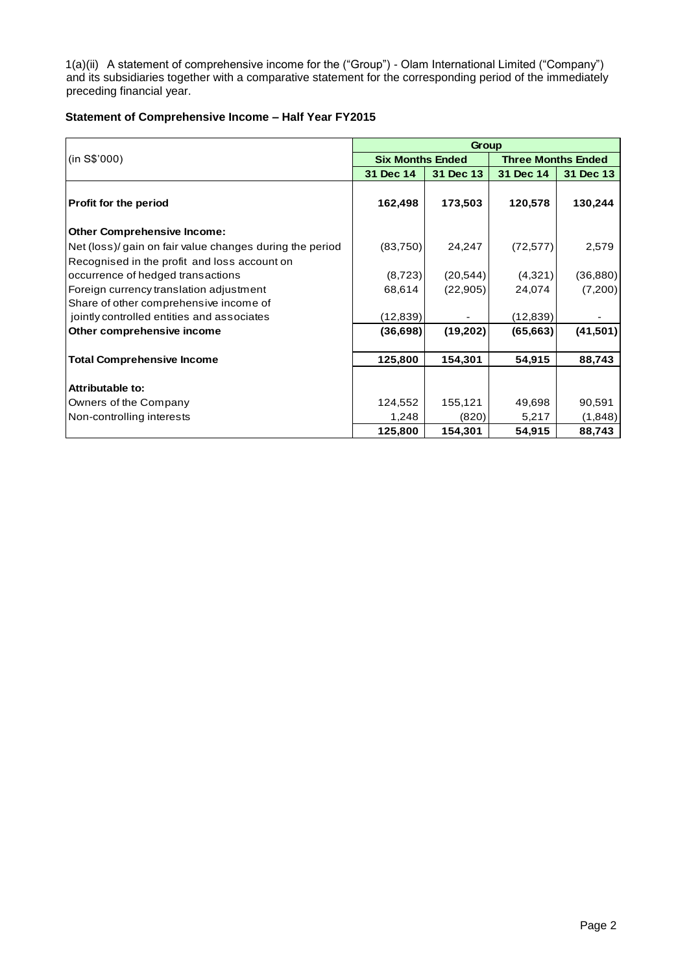1(a)(ii) A statement of comprehensive income for the ("Group") - Olam International Limited ("Company") and its subsidiaries together with a comparative statement for the corresponding period of the immediately preceding financial year.

### **Statement of Comprehensive Income – Half Year FY2015**

|                                                          |                         | Group     |                           |           |
|----------------------------------------------------------|-------------------------|-----------|---------------------------|-----------|
| (in S\$'000)                                             | <b>Six Months Ended</b> |           | <b>Three Months Ended</b> |           |
|                                                          | 31 Dec 14               | 31 Dec 13 | 31 Dec 14                 | 31 Dec 13 |
| Profit for the period                                    | 162,498                 | 173,503   | 120,578                   | 130,244   |
| <b>Other Comprehensive Income:</b>                       |                         |           |                           |           |
| Net (loss)/ gain on fair value changes during the period | (83,750)                | 24,247    | (72, 577)                 | 2,579     |
| Recognised in the profit and loss account on             |                         |           |                           |           |
| occurrence of hedged transactions                        | (8, 723)                | (20, 544) | (4,321)                   | (36, 880) |
| Foreign currency translation adjustment                  | 68,614                  | (22, 905) | 24,074                    | (7,200)   |
| Share of other comprehensive income of                   |                         |           |                           |           |
| jointly controlled entities and associates               | (12, 839)               |           | (12, 839)                 |           |
| Other comprehensive income                               | (36, 698)               | (19, 202) | (65, 663)                 | (41, 501) |
| <b>Total Comprehensive Income</b>                        | 125,800                 | 154,301   | 54,915                    | 88,743    |
| <b>Attributable to:</b>                                  |                         |           |                           |           |
| Owners of the Company                                    | 124,552                 | 155,121   | 49,698                    | 90,591    |
| Non-controlling interests                                | 1,248                   | (820)     | 5,217                     | (1,848)   |
|                                                          | 125,800                 | 154,301   | 54,915                    | 88,743    |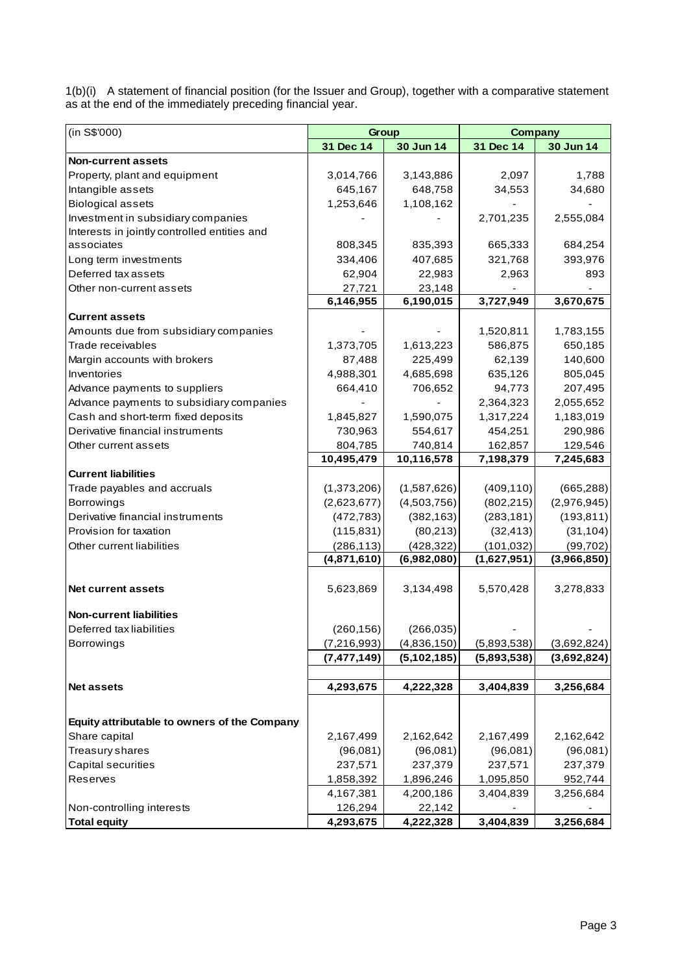1(b)(i) A statement of financial position (for the Issuer and Group), together with a comparative statement as at the end of the immediately preceding financial year.

| (in S\$'000)                                 | Group         |             | <b>Company</b> |             |  |  |
|----------------------------------------------|---------------|-------------|----------------|-------------|--|--|
|                                              | 31 Dec 14     | 30 Jun 14   | 31 Dec 14      | 30 Jun 14   |  |  |
| <b>Non-current assets</b>                    |               |             |                |             |  |  |
| Property, plant and equipment                | 3,014,766     | 3,143,886   | 2,097          | 1,788       |  |  |
| Intangible assets                            | 645,167       | 648,758     | 34,553         | 34,680      |  |  |
| <b>Biological assets</b>                     | 1,253,646     | 1,108,162   |                |             |  |  |
| Investment in subsidiary companies           |               |             | 2,701,235      | 2,555,084   |  |  |
| Interests in jointly controlled entities and |               |             |                |             |  |  |
| associates                                   | 808,345       | 835,393     | 665,333        | 684,254     |  |  |
| Long term investments                        | 334,406       | 407,685     | 321,768        | 393,976     |  |  |
| Deferred tax assets                          | 62,904        | 22,983      | 2,963          | 893         |  |  |
| Other non-current assets                     | 27,721        | 23,148      |                |             |  |  |
|                                              | 6,146,955     | 6,190,015   | 3,727,949      | 3,670,675   |  |  |
| <b>Current assets</b>                        |               |             |                |             |  |  |
| Amounts due from subsidiary companies        |               |             | 1,520,811      | 1,783,155   |  |  |
| Trade receivables                            | 1,373,705     | 1,613,223   | 586,875        | 650,185     |  |  |
| Margin accounts with brokers                 | 87,488        | 225,499     | 62,139         | 140,600     |  |  |
| Inventories                                  | 4,988,301     | 4,685,698   | 635,126        | 805,045     |  |  |
| Advance payments to suppliers                | 664,410       | 706,652     | 94,773         | 207,495     |  |  |
| Advance payments to subsidiary companies     |               |             | 2,364,323      | 2,055,652   |  |  |
| Cash and short-term fixed deposits           | 1,845,827     | 1,590,075   | 1,317,224      | 1,183,019   |  |  |
| Derivative financial instruments             | 730,963       | 554,617     | 454,251        | 290,986     |  |  |
| Other current assets                         | 804,785       | 740,814     | 162,857        | 129,546     |  |  |
|                                              | 10,495,479    | 10,116,578  | 7,198,379      | 7,245,683   |  |  |
| <b>Current liabilities</b>                   |               |             |                |             |  |  |
| Trade payables and accruals                  | (1,373,206)   | (1,587,626) | (409, 110)     | (665, 288)  |  |  |
| Borrowings                                   | (2,623,677)   | (4,503,756) | (802, 215)     | (2,976,945) |  |  |
| Derivative financial instruments             | (472, 783)    | (382, 163)  | (283, 181)     | (193, 811)  |  |  |
| Provision for taxation                       | (115, 831)    | (80,213)    | (32, 413)      | (31, 104)   |  |  |
| Other current liabilities                    | (286, 113)    | (428, 322)  | (101, 032)     | (99, 702)   |  |  |
|                                              | (4,871,610)   | (6,982,080) | (1,627,951)    | (3,966,850) |  |  |
|                                              |               |             |                |             |  |  |
| <b>Net current assets</b>                    | 5,623,869     | 3,134,498   | 5,570,428      | 3,278,833   |  |  |
| <b>Non-current liabilities</b>               |               |             |                |             |  |  |
| Deferred tax liabilities                     | (260, 156)    | (266, 035)  |                |             |  |  |
| Borrowings                                   | (7,216,993)   | (4,836,150) | (5,893,538)    | (3,692,824) |  |  |
|                                              | (7, 477, 149) | (5,102,185) | (5,893,538)    | (3,692,824) |  |  |
|                                              |               |             |                |             |  |  |
| <b>Net assets</b>                            | 4,293,675     | 4,222,328   | 3,404,839      | 3,256,684   |  |  |
|                                              |               |             |                |             |  |  |
| Equity attributable to owners of the Company |               |             |                |             |  |  |
| Share capital                                | 2,167,499     | 2,162,642   | 2,167,499      | 2,162,642   |  |  |
| Treasury shares                              | (96,081)      | (96,081)    | (96,081)       | (96,081)    |  |  |
| Capital securities                           | 237,571       | 237,379     | 237,571        | 237,379     |  |  |
| Reserves                                     | 1,858,392     | 1,896,246   | 1,095,850      | 952,744     |  |  |
|                                              | 4,167,381     | 4,200,186   | 3,404,839      | 3,256,684   |  |  |
| Non-controlling interests                    | 126,294       | 22,142      |                |             |  |  |
| <b>Total equity</b>                          | 4,293,675     | 4,222,328   | 3,404,839      | 3,256,684   |  |  |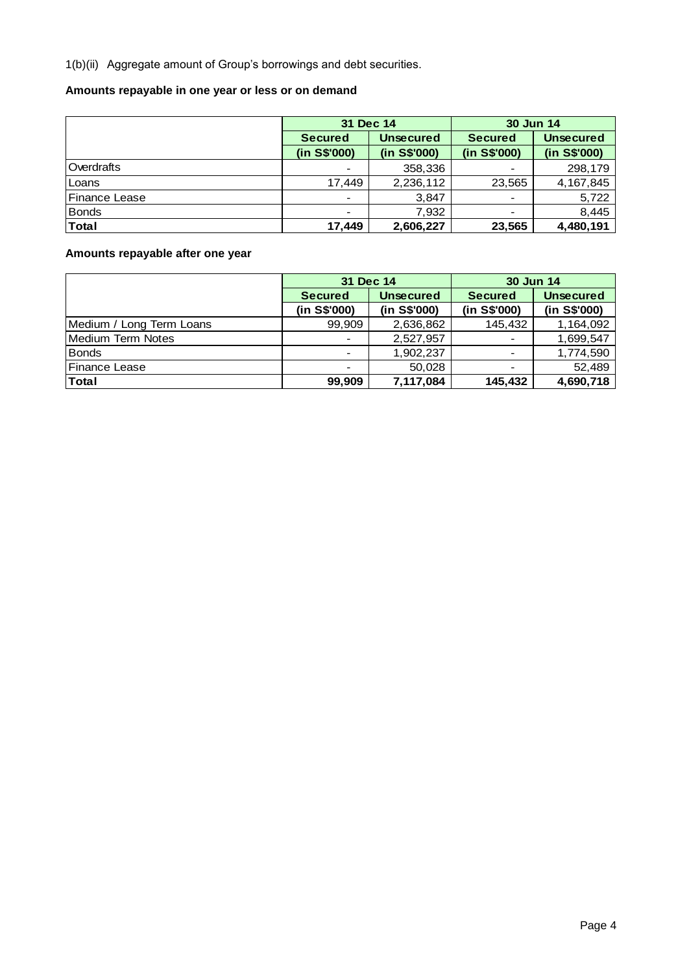1(b)(ii) Aggregate amount of Group's borrowings and debt securities.

# **Amounts repayable in one year or less or on demand**

|               | 31 Dec 14                |                  | <b>30 Jun 14</b> |                  |  |  |
|---------------|--------------------------|------------------|------------------|------------------|--|--|
|               | <b>Secured</b>           | <b>Unsecured</b> | <b>Secured</b>   | <b>Unsecured</b> |  |  |
|               | (in S\$'000)             | (in S\$'000)     | (in S\$'000)     | (in S\$'000)     |  |  |
| Overdrafts    | $\blacksquare$           | 358,336          |                  | 298,179          |  |  |
| Loans         | 17.449                   | 2,236,112        | 23,565           | 4,167,845        |  |  |
| Finance Lease | $\overline{\phantom{a}}$ | 3,847            |                  | 5,722            |  |  |
| <b>Bonds</b>  | $\overline{\phantom{a}}$ | 7,932            |                  | 8,445            |  |  |
| <b>Total</b>  | 17.449                   | 2,606,227        | 23,565           | 4,480,191        |  |  |

# **Amounts repayable after one year**

|                          | 31 Dec 14      |                  | 30 Jun 14                |                  |  |  |
|--------------------------|----------------|------------------|--------------------------|------------------|--|--|
|                          | <b>Secured</b> | <b>Unsecured</b> | <b>Secured</b>           | <b>Unsecured</b> |  |  |
|                          | (in S\$'000)   | (in S\$'000)     | (in S\$'000)             | (in S\$'000)     |  |  |
| Medium / Long Term Loans | 99,909         | 2,636,862        | 145,432                  | 1,164,092        |  |  |
| <b>Medium Term Notes</b> | $\blacksquare$ | 2,527,957        | $\overline{\phantom{a}}$ | 1,699,547        |  |  |
| <b>Bonds</b>             | $\blacksquare$ | 1,902,237        |                          | 1,774,590        |  |  |
| <b>IFinance Lease</b>    | $\,$           | 50,028           |                          | 52,489           |  |  |
| <b>Total</b>             | 99.909         | 7,117,084        | 145,432                  | 4,690,718        |  |  |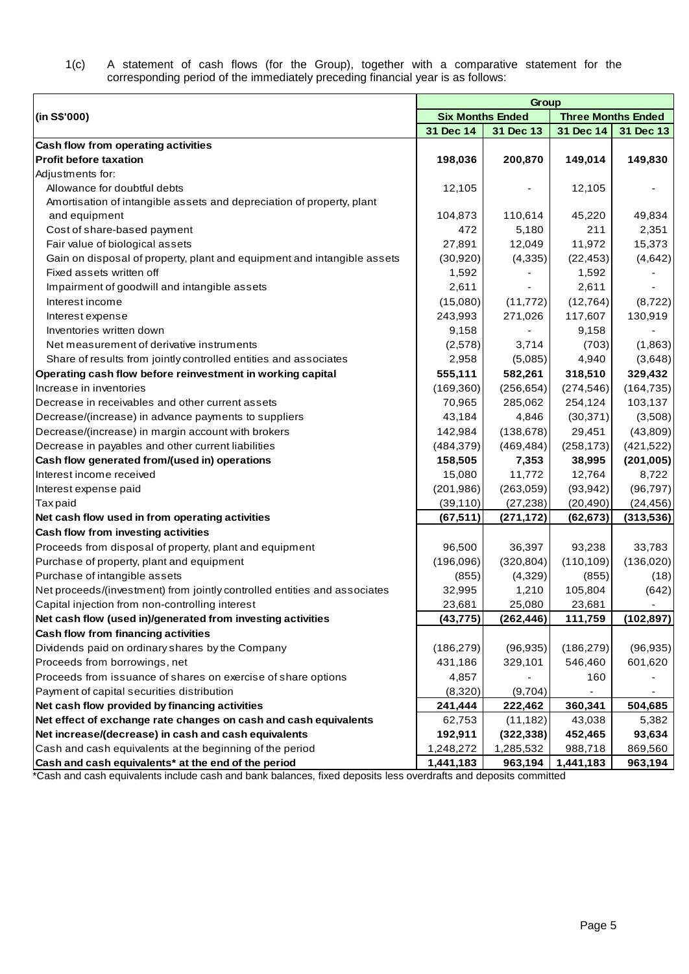1(c) A statement of cash flows (for the Group), together with a comparative statement for the corresponding period of the immediately preceding financial year is as follows:

| <b>Six Months Ended</b><br>(in S\$'000)<br><b>Three Months Ended</b><br>31 Dec 14<br>31 Dec 14<br>31 Dec 13<br>31 Dec 13<br>Cash flow from operating activities<br><b>Profit before taxation</b><br>149,830<br>198,036<br>200,870<br>149,014<br>Adjustments for:<br>Allowance for doubtful debts<br>12,105<br>12,105<br>Amortisation of intangible assets and depreciation of property, plant<br>104,873<br>110,614<br>45,220<br>49,834<br>and equipment<br>2,351<br>Cost of share-based payment<br>472<br>5,180<br>211<br>12,049<br>11,972<br>15,373<br>Fair value of biological assets<br>27,891<br>Gain on disposal of property, plant and equipment and intangible assets<br>(30, 920)<br>(4, 335)<br>(22, 453)<br>(4,642)<br>Fixed assets written off<br>1,592<br>1,592<br>Impairment of goodwill and intangible assets<br>2,611<br>2,611<br>Interest income<br>(15,080)<br>(11, 772)<br>(12, 764)<br>(8,722)<br>271,026<br>117,607<br>243,993<br>130,919<br>Interest expense<br>Inventories written down<br>9,158<br>9,158<br>3,714<br>Net measurement of derivative instruments<br>(2,578)<br>(703)<br>(1,863)<br>Share of results from jointly controlled entities and associates<br>2,958<br>(5,085)<br>4,940<br>(3,648)<br>555,111<br>582,261<br>318,510<br>329,432<br>Operating cash flow before reinvestment in working capital<br>Increase in inventories<br>(164, 735)<br>(169, 360)<br>(256, 654)<br>(274, 546)<br>285,062<br>254,124<br>103,137<br>Decrease in receivables and other current assets<br>70,965<br>43,184<br>Decrease/(increase) in advance payments to suppliers<br>4,846<br>(30, 371)<br>(3,508)<br>(138, 678)<br>Decrease/(increase) in margin account with brokers<br>142,984<br>29,451<br>(43,809)<br>Decrease in payables and other current liabilities<br>(484, 379)<br>(469, 484)<br>(258, 173)<br>(421, 522)<br>158,505<br>38,995<br>Cash flow generated from/(used in) operations<br>7,353<br>(201, 005)<br>11,772<br>Interest income received<br>15,080<br>12,764<br>8,722<br>(201, 986)<br>(263,059)<br>(93, 942)<br>(96, 797)<br>Interest expense paid<br>(39, 110)<br>(27, 238)<br><b>Taxpaid</b><br>(20, 490)<br>(24, 456)<br>(67, 511)<br>(313,536)<br>Net cash flow used in from operating activities<br>(271, 172)<br>(62, 673)<br>Cash flow from investing activities<br>Proceeds from disposal of property, plant and equipment<br>96,500<br>36,397<br>93,238<br>33,783<br>(136,020)<br>Purchase of property, plant and equipment<br>(196,096)<br>(320, 804)<br>(110, 109)<br>Purchase of intangible assets<br>(4,329)<br>(855)<br>(855)<br>(18)<br>Net proceeds/(investment) from jointly controlled entities and associates<br>32,995<br>1,210<br>105,804<br>(642)<br>Capital injection from non-controlling interest<br>23,681<br>25,080<br>23,681<br>$\overline{\phantom{a}}$<br>Net cash flow (used in)/generated from investing activities<br>(43, 775)<br>(262, 446)<br>111,759<br>(102, 897)<br>Cash flow from financing activities<br>Dividends paid on ordinary shares by the Company<br>(186, 279)<br>(96, 935)<br>(186, 279)<br>(96, 935)<br>Proceeds from borrowings, net<br>431,186<br>329,101<br>546,460<br>601,620<br>Proceeds from issuance of shares on exercise of share options<br>4,857<br>160<br>Payment of capital securities distribution<br>(8,320)<br>(9,704)<br>Net cash flow provided by financing activities<br>241,444<br>360,341<br>504,685<br>222,462<br>Net effect of exchange rate changes on cash and cash equivalents<br>62,753<br>(11, 182)<br>43,038<br>5,382<br>Net increase/(decrease) in cash and cash equivalents<br>192,911<br>452,465<br>(322, 338)<br>93,634<br>Cash and cash equivalents at the beginning of the period<br>1,248,272<br>1,285,532<br>988,718<br>869,560 |                                                     | Group     |         |           |         |  |  |  |
|-------------------------------------------------------------------------------------------------------------------------------------------------------------------------------------------------------------------------------------------------------------------------------------------------------------------------------------------------------------------------------------------------------------------------------------------------------------------------------------------------------------------------------------------------------------------------------------------------------------------------------------------------------------------------------------------------------------------------------------------------------------------------------------------------------------------------------------------------------------------------------------------------------------------------------------------------------------------------------------------------------------------------------------------------------------------------------------------------------------------------------------------------------------------------------------------------------------------------------------------------------------------------------------------------------------------------------------------------------------------------------------------------------------------------------------------------------------------------------------------------------------------------------------------------------------------------------------------------------------------------------------------------------------------------------------------------------------------------------------------------------------------------------------------------------------------------------------------------------------------------------------------------------------------------------------------------------------------------------------------------------------------------------------------------------------------------------------------------------------------------------------------------------------------------------------------------------------------------------------------------------------------------------------------------------------------------------------------------------------------------------------------------------------------------------------------------------------------------------------------------------------------------------------------------------------------------------------------------------------------------------------------------------------------------------------------------------------------------------------------------------------------------------------------------------------------------------------------------------------------------------------------------------------------------------------------------------------------------------------------------------------------------------------------------------------------------------------------------------------------------------------------------------------------------------------------------------------------------------------------------------------------------------------------------------------------------------------------------------------------------------------------------------------------------------------------------------------------------------------------------------------------------------------------------------------------------------------------------------------------------------------------------------------------------------------------------------------------------------------------------------------------------|-----------------------------------------------------|-----------|---------|-----------|---------|--|--|--|
|                                                                                                                                                                                                                                                                                                                                                                                                                                                                                                                                                                                                                                                                                                                                                                                                                                                                                                                                                                                                                                                                                                                                                                                                                                                                                                                                                                                                                                                                                                                                                                                                                                                                                                                                                                                                                                                                                                                                                                                                                                                                                                                                                                                                                                                                                                                                                                                                                                                                                                                                                                                                                                                                                                                                                                                                                                                                                                                                                                                                                                                                                                                                                                                                                                                                                                                                                                                                                                                                                                                                                                                                                                                                                                                                                                         |                                                     |           |         |           |         |  |  |  |
|                                                                                                                                                                                                                                                                                                                                                                                                                                                                                                                                                                                                                                                                                                                                                                                                                                                                                                                                                                                                                                                                                                                                                                                                                                                                                                                                                                                                                                                                                                                                                                                                                                                                                                                                                                                                                                                                                                                                                                                                                                                                                                                                                                                                                                                                                                                                                                                                                                                                                                                                                                                                                                                                                                                                                                                                                                                                                                                                                                                                                                                                                                                                                                                                                                                                                                                                                                                                                                                                                                                                                                                                                                                                                                                                                                         |                                                     |           |         |           |         |  |  |  |
|                                                                                                                                                                                                                                                                                                                                                                                                                                                                                                                                                                                                                                                                                                                                                                                                                                                                                                                                                                                                                                                                                                                                                                                                                                                                                                                                                                                                                                                                                                                                                                                                                                                                                                                                                                                                                                                                                                                                                                                                                                                                                                                                                                                                                                                                                                                                                                                                                                                                                                                                                                                                                                                                                                                                                                                                                                                                                                                                                                                                                                                                                                                                                                                                                                                                                                                                                                                                                                                                                                                                                                                                                                                                                                                                                                         |                                                     |           |         |           |         |  |  |  |
|                                                                                                                                                                                                                                                                                                                                                                                                                                                                                                                                                                                                                                                                                                                                                                                                                                                                                                                                                                                                                                                                                                                                                                                                                                                                                                                                                                                                                                                                                                                                                                                                                                                                                                                                                                                                                                                                                                                                                                                                                                                                                                                                                                                                                                                                                                                                                                                                                                                                                                                                                                                                                                                                                                                                                                                                                                                                                                                                                                                                                                                                                                                                                                                                                                                                                                                                                                                                                                                                                                                                                                                                                                                                                                                                                                         |                                                     |           |         |           |         |  |  |  |
|                                                                                                                                                                                                                                                                                                                                                                                                                                                                                                                                                                                                                                                                                                                                                                                                                                                                                                                                                                                                                                                                                                                                                                                                                                                                                                                                                                                                                                                                                                                                                                                                                                                                                                                                                                                                                                                                                                                                                                                                                                                                                                                                                                                                                                                                                                                                                                                                                                                                                                                                                                                                                                                                                                                                                                                                                                                                                                                                                                                                                                                                                                                                                                                                                                                                                                                                                                                                                                                                                                                                                                                                                                                                                                                                                                         |                                                     |           |         |           |         |  |  |  |
|                                                                                                                                                                                                                                                                                                                                                                                                                                                                                                                                                                                                                                                                                                                                                                                                                                                                                                                                                                                                                                                                                                                                                                                                                                                                                                                                                                                                                                                                                                                                                                                                                                                                                                                                                                                                                                                                                                                                                                                                                                                                                                                                                                                                                                                                                                                                                                                                                                                                                                                                                                                                                                                                                                                                                                                                                                                                                                                                                                                                                                                                                                                                                                                                                                                                                                                                                                                                                                                                                                                                                                                                                                                                                                                                                                         |                                                     |           |         |           |         |  |  |  |
|                                                                                                                                                                                                                                                                                                                                                                                                                                                                                                                                                                                                                                                                                                                                                                                                                                                                                                                                                                                                                                                                                                                                                                                                                                                                                                                                                                                                                                                                                                                                                                                                                                                                                                                                                                                                                                                                                                                                                                                                                                                                                                                                                                                                                                                                                                                                                                                                                                                                                                                                                                                                                                                                                                                                                                                                                                                                                                                                                                                                                                                                                                                                                                                                                                                                                                                                                                                                                                                                                                                                                                                                                                                                                                                                                                         |                                                     |           |         |           |         |  |  |  |
|                                                                                                                                                                                                                                                                                                                                                                                                                                                                                                                                                                                                                                                                                                                                                                                                                                                                                                                                                                                                                                                                                                                                                                                                                                                                                                                                                                                                                                                                                                                                                                                                                                                                                                                                                                                                                                                                                                                                                                                                                                                                                                                                                                                                                                                                                                                                                                                                                                                                                                                                                                                                                                                                                                                                                                                                                                                                                                                                                                                                                                                                                                                                                                                                                                                                                                                                                                                                                                                                                                                                                                                                                                                                                                                                                                         |                                                     |           |         |           |         |  |  |  |
|                                                                                                                                                                                                                                                                                                                                                                                                                                                                                                                                                                                                                                                                                                                                                                                                                                                                                                                                                                                                                                                                                                                                                                                                                                                                                                                                                                                                                                                                                                                                                                                                                                                                                                                                                                                                                                                                                                                                                                                                                                                                                                                                                                                                                                                                                                                                                                                                                                                                                                                                                                                                                                                                                                                                                                                                                                                                                                                                                                                                                                                                                                                                                                                                                                                                                                                                                                                                                                                                                                                                                                                                                                                                                                                                                                         |                                                     |           |         |           |         |  |  |  |
|                                                                                                                                                                                                                                                                                                                                                                                                                                                                                                                                                                                                                                                                                                                                                                                                                                                                                                                                                                                                                                                                                                                                                                                                                                                                                                                                                                                                                                                                                                                                                                                                                                                                                                                                                                                                                                                                                                                                                                                                                                                                                                                                                                                                                                                                                                                                                                                                                                                                                                                                                                                                                                                                                                                                                                                                                                                                                                                                                                                                                                                                                                                                                                                                                                                                                                                                                                                                                                                                                                                                                                                                                                                                                                                                                                         |                                                     |           |         |           |         |  |  |  |
|                                                                                                                                                                                                                                                                                                                                                                                                                                                                                                                                                                                                                                                                                                                                                                                                                                                                                                                                                                                                                                                                                                                                                                                                                                                                                                                                                                                                                                                                                                                                                                                                                                                                                                                                                                                                                                                                                                                                                                                                                                                                                                                                                                                                                                                                                                                                                                                                                                                                                                                                                                                                                                                                                                                                                                                                                                                                                                                                                                                                                                                                                                                                                                                                                                                                                                                                                                                                                                                                                                                                                                                                                                                                                                                                                                         |                                                     |           |         |           |         |  |  |  |
|                                                                                                                                                                                                                                                                                                                                                                                                                                                                                                                                                                                                                                                                                                                                                                                                                                                                                                                                                                                                                                                                                                                                                                                                                                                                                                                                                                                                                                                                                                                                                                                                                                                                                                                                                                                                                                                                                                                                                                                                                                                                                                                                                                                                                                                                                                                                                                                                                                                                                                                                                                                                                                                                                                                                                                                                                                                                                                                                                                                                                                                                                                                                                                                                                                                                                                                                                                                                                                                                                                                                                                                                                                                                                                                                                                         |                                                     |           |         |           |         |  |  |  |
|                                                                                                                                                                                                                                                                                                                                                                                                                                                                                                                                                                                                                                                                                                                                                                                                                                                                                                                                                                                                                                                                                                                                                                                                                                                                                                                                                                                                                                                                                                                                                                                                                                                                                                                                                                                                                                                                                                                                                                                                                                                                                                                                                                                                                                                                                                                                                                                                                                                                                                                                                                                                                                                                                                                                                                                                                                                                                                                                                                                                                                                                                                                                                                                                                                                                                                                                                                                                                                                                                                                                                                                                                                                                                                                                                                         |                                                     |           |         |           |         |  |  |  |
|                                                                                                                                                                                                                                                                                                                                                                                                                                                                                                                                                                                                                                                                                                                                                                                                                                                                                                                                                                                                                                                                                                                                                                                                                                                                                                                                                                                                                                                                                                                                                                                                                                                                                                                                                                                                                                                                                                                                                                                                                                                                                                                                                                                                                                                                                                                                                                                                                                                                                                                                                                                                                                                                                                                                                                                                                                                                                                                                                                                                                                                                                                                                                                                                                                                                                                                                                                                                                                                                                                                                                                                                                                                                                                                                                                         |                                                     |           |         |           |         |  |  |  |
|                                                                                                                                                                                                                                                                                                                                                                                                                                                                                                                                                                                                                                                                                                                                                                                                                                                                                                                                                                                                                                                                                                                                                                                                                                                                                                                                                                                                                                                                                                                                                                                                                                                                                                                                                                                                                                                                                                                                                                                                                                                                                                                                                                                                                                                                                                                                                                                                                                                                                                                                                                                                                                                                                                                                                                                                                                                                                                                                                                                                                                                                                                                                                                                                                                                                                                                                                                                                                                                                                                                                                                                                                                                                                                                                                                         |                                                     |           |         |           |         |  |  |  |
|                                                                                                                                                                                                                                                                                                                                                                                                                                                                                                                                                                                                                                                                                                                                                                                                                                                                                                                                                                                                                                                                                                                                                                                                                                                                                                                                                                                                                                                                                                                                                                                                                                                                                                                                                                                                                                                                                                                                                                                                                                                                                                                                                                                                                                                                                                                                                                                                                                                                                                                                                                                                                                                                                                                                                                                                                                                                                                                                                                                                                                                                                                                                                                                                                                                                                                                                                                                                                                                                                                                                                                                                                                                                                                                                                                         |                                                     |           |         |           |         |  |  |  |
|                                                                                                                                                                                                                                                                                                                                                                                                                                                                                                                                                                                                                                                                                                                                                                                                                                                                                                                                                                                                                                                                                                                                                                                                                                                                                                                                                                                                                                                                                                                                                                                                                                                                                                                                                                                                                                                                                                                                                                                                                                                                                                                                                                                                                                                                                                                                                                                                                                                                                                                                                                                                                                                                                                                                                                                                                                                                                                                                                                                                                                                                                                                                                                                                                                                                                                                                                                                                                                                                                                                                                                                                                                                                                                                                                                         |                                                     |           |         |           |         |  |  |  |
|                                                                                                                                                                                                                                                                                                                                                                                                                                                                                                                                                                                                                                                                                                                                                                                                                                                                                                                                                                                                                                                                                                                                                                                                                                                                                                                                                                                                                                                                                                                                                                                                                                                                                                                                                                                                                                                                                                                                                                                                                                                                                                                                                                                                                                                                                                                                                                                                                                                                                                                                                                                                                                                                                                                                                                                                                                                                                                                                                                                                                                                                                                                                                                                                                                                                                                                                                                                                                                                                                                                                                                                                                                                                                                                                                                         |                                                     |           |         |           |         |  |  |  |
|                                                                                                                                                                                                                                                                                                                                                                                                                                                                                                                                                                                                                                                                                                                                                                                                                                                                                                                                                                                                                                                                                                                                                                                                                                                                                                                                                                                                                                                                                                                                                                                                                                                                                                                                                                                                                                                                                                                                                                                                                                                                                                                                                                                                                                                                                                                                                                                                                                                                                                                                                                                                                                                                                                                                                                                                                                                                                                                                                                                                                                                                                                                                                                                                                                                                                                                                                                                                                                                                                                                                                                                                                                                                                                                                                                         |                                                     |           |         |           |         |  |  |  |
|                                                                                                                                                                                                                                                                                                                                                                                                                                                                                                                                                                                                                                                                                                                                                                                                                                                                                                                                                                                                                                                                                                                                                                                                                                                                                                                                                                                                                                                                                                                                                                                                                                                                                                                                                                                                                                                                                                                                                                                                                                                                                                                                                                                                                                                                                                                                                                                                                                                                                                                                                                                                                                                                                                                                                                                                                                                                                                                                                                                                                                                                                                                                                                                                                                                                                                                                                                                                                                                                                                                                                                                                                                                                                                                                                                         |                                                     |           |         |           |         |  |  |  |
|                                                                                                                                                                                                                                                                                                                                                                                                                                                                                                                                                                                                                                                                                                                                                                                                                                                                                                                                                                                                                                                                                                                                                                                                                                                                                                                                                                                                                                                                                                                                                                                                                                                                                                                                                                                                                                                                                                                                                                                                                                                                                                                                                                                                                                                                                                                                                                                                                                                                                                                                                                                                                                                                                                                                                                                                                                                                                                                                                                                                                                                                                                                                                                                                                                                                                                                                                                                                                                                                                                                                                                                                                                                                                                                                                                         |                                                     |           |         |           |         |  |  |  |
|                                                                                                                                                                                                                                                                                                                                                                                                                                                                                                                                                                                                                                                                                                                                                                                                                                                                                                                                                                                                                                                                                                                                                                                                                                                                                                                                                                                                                                                                                                                                                                                                                                                                                                                                                                                                                                                                                                                                                                                                                                                                                                                                                                                                                                                                                                                                                                                                                                                                                                                                                                                                                                                                                                                                                                                                                                                                                                                                                                                                                                                                                                                                                                                                                                                                                                                                                                                                                                                                                                                                                                                                                                                                                                                                                                         |                                                     |           |         |           |         |  |  |  |
|                                                                                                                                                                                                                                                                                                                                                                                                                                                                                                                                                                                                                                                                                                                                                                                                                                                                                                                                                                                                                                                                                                                                                                                                                                                                                                                                                                                                                                                                                                                                                                                                                                                                                                                                                                                                                                                                                                                                                                                                                                                                                                                                                                                                                                                                                                                                                                                                                                                                                                                                                                                                                                                                                                                                                                                                                                                                                                                                                                                                                                                                                                                                                                                                                                                                                                                                                                                                                                                                                                                                                                                                                                                                                                                                                                         |                                                     |           |         |           |         |  |  |  |
|                                                                                                                                                                                                                                                                                                                                                                                                                                                                                                                                                                                                                                                                                                                                                                                                                                                                                                                                                                                                                                                                                                                                                                                                                                                                                                                                                                                                                                                                                                                                                                                                                                                                                                                                                                                                                                                                                                                                                                                                                                                                                                                                                                                                                                                                                                                                                                                                                                                                                                                                                                                                                                                                                                                                                                                                                                                                                                                                                                                                                                                                                                                                                                                                                                                                                                                                                                                                                                                                                                                                                                                                                                                                                                                                                                         |                                                     |           |         |           |         |  |  |  |
|                                                                                                                                                                                                                                                                                                                                                                                                                                                                                                                                                                                                                                                                                                                                                                                                                                                                                                                                                                                                                                                                                                                                                                                                                                                                                                                                                                                                                                                                                                                                                                                                                                                                                                                                                                                                                                                                                                                                                                                                                                                                                                                                                                                                                                                                                                                                                                                                                                                                                                                                                                                                                                                                                                                                                                                                                                                                                                                                                                                                                                                                                                                                                                                                                                                                                                                                                                                                                                                                                                                                                                                                                                                                                                                                                                         |                                                     |           |         |           |         |  |  |  |
|                                                                                                                                                                                                                                                                                                                                                                                                                                                                                                                                                                                                                                                                                                                                                                                                                                                                                                                                                                                                                                                                                                                                                                                                                                                                                                                                                                                                                                                                                                                                                                                                                                                                                                                                                                                                                                                                                                                                                                                                                                                                                                                                                                                                                                                                                                                                                                                                                                                                                                                                                                                                                                                                                                                                                                                                                                                                                                                                                                                                                                                                                                                                                                                                                                                                                                                                                                                                                                                                                                                                                                                                                                                                                                                                                                         |                                                     |           |         |           |         |  |  |  |
|                                                                                                                                                                                                                                                                                                                                                                                                                                                                                                                                                                                                                                                                                                                                                                                                                                                                                                                                                                                                                                                                                                                                                                                                                                                                                                                                                                                                                                                                                                                                                                                                                                                                                                                                                                                                                                                                                                                                                                                                                                                                                                                                                                                                                                                                                                                                                                                                                                                                                                                                                                                                                                                                                                                                                                                                                                                                                                                                                                                                                                                                                                                                                                                                                                                                                                                                                                                                                                                                                                                                                                                                                                                                                                                                                                         |                                                     |           |         |           |         |  |  |  |
|                                                                                                                                                                                                                                                                                                                                                                                                                                                                                                                                                                                                                                                                                                                                                                                                                                                                                                                                                                                                                                                                                                                                                                                                                                                                                                                                                                                                                                                                                                                                                                                                                                                                                                                                                                                                                                                                                                                                                                                                                                                                                                                                                                                                                                                                                                                                                                                                                                                                                                                                                                                                                                                                                                                                                                                                                                                                                                                                                                                                                                                                                                                                                                                                                                                                                                                                                                                                                                                                                                                                                                                                                                                                                                                                                                         |                                                     |           |         |           |         |  |  |  |
|                                                                                                                                                                                                                                                                                                                                                                                                                                                                                                                                                                                                                                                                                                                                                                                                                                                                                                                                                                                                                                                                                                                                                                                                                                                                                                                                                                                                                                                                                                                                                                                                                                                                                                                                                                                                                                                                                                                                                                                                                                                                                                                                                                                                                                                                                                                                                                                                                                                                                                                                                                                                                                                                                                                                                                                                                                                                                                                                                                                                                                                                                                                                                                                                                                                                                                                                                                                                                                                                                                                                                                                                                                                                                                                                                                         |                                                     |           |         |           |         |  |  |  |
|                                                                                                                                                                                                                                                                                                                                                                                                                                                                                                                                                                                                                                                                                                                                                                                                                                                                                                                                                                                                                                                                                                                                                                                                                                                                                                                                                                                                                                                                                                                                                                                                                                                                                                                                                                                                                                                                                                                                                                                                                                                                                                                                                                                                                                                                                                                                                                                                                                                                                                                                                                                                                                                                                                                                                                                                                                                                                                                                                                                                                                                                                                                                                                                                                                                                                                                                                                                                                                                                                                                                                                                                                                                                                                                                                                         |                                                     |           |         |           |         |  |  |  |
|                                                                                                                                                                                                                                                                                                                                                                                                                                                                                                                                                                                                                                                                                                                                                                                                                                                                                                                                                                                                                                                                                                                                                                                                                                                                                                                                                                                                                                                                                                                                                                                                                                                                                                                                                                                                                                                                                                                                                                                                                                                                                                                                                                                                                                                                                                                                                                                                                                                                                                                                                                                                                                                                                                                                                                                                                                                                                                                                                                                                                                                                                                                                                                                                                                                                                                                                                                                                                                                                                                                                                                                                                                                                                                                                                                         |                                                     |           |         |           |         |  |  |  |
|                                                                                                                                                                                                                                                                                                                                                                                                                                                                                                                                                                                                                                                                                                                                                                                                                                                                                                                                                                                                                                                                                                                                                                                                                                                                                                                                                                                                                                                                                                                                                                                                                                                                                                                                                                                                                                                                                                                                                                                                                                                                                                                                                                                                                                                                                                                                                                                                                                                                                                                                                                                                                                                                                                                                                                                                                                                                                                                                                                                                                                                                                                                                                                                                                                                                                                                                                                                                                                                                                                                                                                                                                                                                                                                                                                         |                                                     |           |         |           |         |  |  |  |
|                                                                                                                                                                                                                                                                                                                                                                                                                                                                                                                                                                                                                                                                                                                                                                                                                                                                                                                                                                                                                                                                                                                                                                                                                                                                                                                                                                                                                                                                                                                                                                                                                                                                                                                                                                                                                                                                                                                                                                                                                                                                                                                                                                                                                                                                                                                                                                                                                                                                                                                                                                                                                                                                                                                                                                                                                                                                                                                                                                                                                                                                                                                                                                                                                                                                                                                                                                                                                                                                                                                                                                                                                                                                                                                                                                         |                                                     |           |         |           |         |  |  |  |
|                                                                                                                                                                                                                                                                                                                                                                                                                                                                                                                                                                                                                                                                                                                                                                                                                                                                                                                                                                                                                                                                                                                                                                                                                                                                                                                                                                                                                                                                                                                                                                                                                                                                                                                                                                                                                                                                                                                                                                                                                                                                                                                                                                                                                                                                                                                                                                                                                                                                                                                                                                                                                                                                                                                                                                                                                                                                                                                                                                                                                                                                                                                                                                                                                                                                                                                                                                                                                                                                                                                                                                                                                                                                                                                                                                         |                                                     |           |         |           |         |  |  |  |
|                                                                                                                                                                                                                                                                                                                                                                                                                                                                                                                                                                                                                                                                                                                                                                                                                                                                                                                                                                                                                                                                                                                                                                                                                                                                                                                                                                                                                                                                                                                                                                                                                                                                                                                                                                                                                                                                                                                                                                                                                                                                                                                                                                                                                                                                                                                                                                                                                                                                                                                                                                                                                                                                                                                                                                                                                                                                                                                                                                                                                                                                                                                                                                                                                                                                                                                                                                                                                                                                                                                                                                                                                                                                                                                                                                         |                                                     |           |         |           |         |  |  |  |
|                                                                                                                                                                                                                                                                                                                                                                                                                                                                                                                                                                                                                                                                                                                                                                                                                                                                                                                                                                                                                                                                                                                                                                                                                                                                                                                                                                                                                                                                                                                                                                                                                                                                                                                                                                                                                                                                                                                                                                                                                                                                                                                                                                                                                                                                                                                                                                                                                                                                                                                                                                                                                                                                                                                                                                                                                                                                                                                                                                                                                                                                                                                                                                                                                                                                                                                                                                                                                                                                                                                                                                                                                                                                                                                                                                         |                                                     |           |         |           |         |  |  |  |
|                                                                                                                                                                                                                                                                                                                                                                                                                                                                                                                                                                                                                                                                                                                                                                                                                                                                                                                                                                                                                                                                                                                                                                                                                                                                                                                                                                                                                                                                                                                                                                                                                                                                                                                                                                                                                                                                                                                                                                                                                                                                                                                                                                                                                                                                                                                                                                                                                                                                                                                                                                                                                                                                                                                                                                                                                                                                                                                                                                                                                                                                                                                                                                                                                                                                                                                                                                                                                                                                                                                                                                                                                                                                                                                                                                         |                                                     |           |         |           |         |  |  |  |
|                                                                                                                                                                                                                                                                                                                                                                                                                                                                                                                                                                                                                                                                                                                                                                                                                                                                                                                                                                                                                                                                                                                                                                                                                                                                                                                                                                                                                                                                                                                                                                                                                                                                                                                                                                                                                                                                                                                                                                                                                                                                                                                                                                                                                                                                                                                                                                                                                                                                                                                                                                                                                                                                                                                                                                                                                                                                                                                                                                                                                                                                                                                                                                                                                                                                                                                                                                                                                                                                                                                                                                                                                                                                                                                                                                         |                                                     |           |         |           |         |  |  |  |
|                                                                                                                                                                                                                                                                                                                                                                                                                                                                                                                                                                                                                                                                                                                                                                                                                                                                                                                                                                                                                                                                                                                                                                                                                                                                                                                                                                                                                                                                                                                                                                                                                                                                                                                                                                                                                                                                                                                                                                                                                                                                                                                                                                                                                                                                                                                                                                                                                                                                                                                                                                                                                                                                                                                                                                                                                                                                                                                                                                                                                                                                                                                                                                                                                                                                                                                                                                                                                                                                                                                                                                                                                                                                                                                                                                         |                                                     |           |         |           |         |  |  |  |
|                                                                                                                                                                                                                                                                                                                                                                                                                                                                                                                                                                                                                                                                                                                                                                                                                                                                                                                                                                                                                                                                                                                                                                                                                                                                                                                                                                                                                                                                                                                                                                                                                                                                                                                                                                                                                                                                                                                                                                                                                                                                                                                                                                                                                                                                                                                                                                                                                                                                                                                                                                                                                                                                                                                                                                                                                                                                                                                                                                                                                                                                                                                                                                                                                                                                                                                                                                                                                                                                                                                                                                                                                                                                                                                                                                         |                                                     |           |         |           |         |  |  |  |
|                                                                                                                                                                                                                                                                                                                                                                                                                                                                                                                                                                                                                                                                                                                                                                                                                                                                                                                                                                                                                                                                                                                                                                                                                                                                                                                                                                                                                                                                                                                                                                                                                                                                                                                                                                                                                                                                                                                                                                                                                                                                                                                                                                                                                                                                                                                                                                                                                                                                                                                                                                                                                                                                                                                                                                                                                                                                                                                                                                                                                                                                                                                                                                                                                                                                                                                                                                                                                                                                                                                                                                                                                                                                                                                                                                         |                                                     |           |         |           |         |  |  |  |
|                                                                                                                                                                                                                                                                                                                                                                                                                                                                                                                                                                                                                                                                                                                                                                                                                                                                                                                                                                                                                                                                                                                                                                                                                                                                                                                                                                                                                                                                                                                                                                                                                                                                                                                                                                                                                                                                                                                                                                                                                                                                                                                                                                                                                                                                                                                                                                                                                                                                                                                                                                                                                                                                                                                                                                                                                                                                                                                                                                                                                                                                                                                                                                                                                                                                                                                                                                                                                                                                                                                                                                                                                                                                                                                                                                         |                                                     |           |         |           |         |  |  |  |
|                                                                                                                                                                                                                                                                                                                                                                                                                                                                                                                                                                                                                                                                                                                                                                                                                                                                                                                                                                                                                                                                                                                                                                                                                                                                                                                                                                                                                                                                                                                                                                                                                                                                                                                                                                                                                                                                                                                                                                                                                                                                                                                                                                                                                                                                                                                                                                                                                                                                                                                                                                                                                                                                                                                                                                                                                                                                                                                                                                                                                                                                                                                                                                                                                                                                                                                                                                                                                                                                                                                                                                                                                                                                                                                                                                         |                                                     |           |         |           |         |  |  |  |
|                                                                                                                                                                                                                                                                                                                                                                                                                                                                                                                                                                                                                                                                                                                                                                                                                                                                                                                                                                                                                                                                                                                                                                                                                                                                                                                                                                                                                                                                                                                                                                                                                                                                                                                                                                                                                                                                                                                                                                                                                                                                                                                                                                                                                                                                                                                                                                                                                                                                                                                                                                                                                                                                                                                                                                                                                                                                                                                                                                                                                                                                                                                                                                                                                                                                                                                                                                                                                                                                                                                                                                                                                                                                                                                                                                         |                                                     |           |         |           |         |  |  |  |
|                                                                                                                                                                                                                                                                                                                                                                                                                                                                                                                                                                                                                                                                                                                                                                                                                                                                                                                                                                                                                                                                                                                                                                                                                                                                                                                                                                                                                                                                                                                                                                                                                                                                                                                                                                                                                                                                                                                                                                                                                                                                                                                                                                                                                                                                                                                                                                                                                                                                                                                                                                                                                                                                                                                                                                                                                                                                                                                                                                                                                                                                                                                                                                                                                                                                                                                                                                                                                                                                                                                                                                                                                                                                                                                                                                         |                                                     |           |         |           |         |  |  |  |
|                                                                                                                                                                                                                                                                                                                                                                                                                                                                                                                                                                                                                                                                                                                                                                                                                                                                                                                                                                                                                                                                                                                                                                                                                                                                                                                                                                                                                                                                                                                                                                                                                                                                                                                                                                                                                                                                                                                                                                                                                                                                                                                                                                                                                                                                                                                                                                                                                                                                                                                                                                                                                                                                                                                                                                                                                                                                                                                                                                                                                                                                                                                                                                                                                                                                                                                                                                                                                                                                                                                                                                                                                                                                                                                                                                         | Cash and cash equivalents* at the end of the period | 1,441,183 | 963,194 | 1,441,183 | 963,194 |  |  |  |

\*Cash and cash equivalents include cash and bank balances, fixed deposits less overdrafts and deposits committed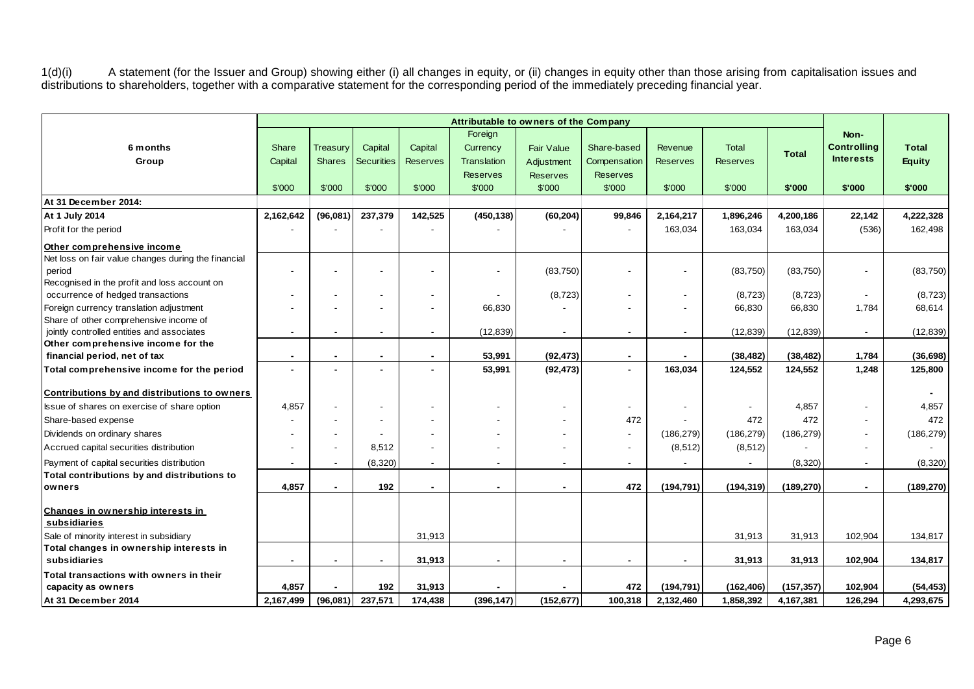1(d)(i) A statement (for the Issuer and Group) showing either (i) all changes in equity, or (ii) changes in equity other than those arising from capitalisation issues and distributions to shareholders, together with a comparative statement for the corresponding period of the immediately preceding financial year.

|                                                     | Attributable to owners of the Company |                          |                   |                          |                          |                          |                          |                 |                 |              |                          |                |
|-----------------------------------------------------|---------------------------------------|--------------------------|-------------------|--------------------------|--------------------------|--------------------------|--------------------------|-----------------|-----------------|--------------|--------------------------|----------------|
|                                                     |                                       |                          |                   |                          | Foreign                  |                          |                          |                 |                 |              | Non-                     |                |
| 6 months                                            | Share                                 | Treasurv                 | Capital           | Capital                  | Currency                 | <b>Fair Value</b>        | Share-based              | Revenue         | <b>Total</b>    | <b>Total</b> | <b>Controlling</b>       | <b>Total</b>   |
| Group                                               | Capital                               | <b>Shares</b>            | <b>Securities</b> | <b>Reserves</b>          | <b>Translation</b>       | Adjustment               | Compensation             | <b>Reserves</b> | <b>Reserves</b> |              | <b>Interests</b>         | <b>Equity</b>  |
|                                                     |                                       |                          |                   |                          | <b>Reserves</b>          | <b>Reserves</b>          | <b>Reserves</b>          |                 |                 |              |                          |                |
|                                                     | \$'000                                | \$'000                   | \$'000            | \$'000                   | \$'000                   | \$'000                   | \$'000                   | \$'000          | \$'000          | \$'000       | \$'000                   | \$'000         |
| At 31 December 2014:                                |                                       |                          |                   |                          |                          |                          |                          |                 |                 |              |                          |                |
| At 1 July 2014                                      | 2,162,642                             | (96,081)                 | 237,379           | 142,525                  | (450, 138)               | (60, 204)                | 99,846                   | 2,164,217       | 1,896,246       | 4,200,186    | 22,142                   | 4,222,328      |
| Profit for the period                               |                                       |                          |                   |                          |                          |                          |                          | 163,034         | 163,034         | 163,034      | (536)                    | 162,498        |
| Other comprehensive income                          |                                       |                          |                   |                          |                          |                          |                          |                 |                 |              |                          |                |
| Net loss on fair value changes during the financial |                                       |                          |                   |                          |                          |                          |                          |                 |                 |              |                          |                |
| period                                              |                                       |                          |                   |                          |                          | (83,750)                 |                          |                 | (83,750)        | (83,750)     |                          | (83,750)       |
| Recognised in the profit and loss account on        |                                       |                          |                   |                          |                          |                          |                          |                 |                 |              |                          |                |
| occurrence of hedged transactions                   |                                       |                          |                   |                          |                          | (8, 723)                 |                          |                 | (8, 723)        | (8, 723)     | $\blacksquare$           | (8, 723)       |
| Foreign currency translation adjustment             |                                       |                          |                   |                          | 66,830                   |                          |                          |                 | 66,830          | 66,830       | 1,784                    | 68,614         |
| Share of other comprehensive income of              |                                       |                          |                   |                          |                          |                          |                          |                 |                 |              |                          |                |
| jointly controlled entities and associates          |                                       |                          | $\blacksquare$    | $\overline{\phantom{a}}$ | (12, 839)                | $\blacksquare$           | $\overline{\phantom{a}}$ | $\blacksquare$  | (12, 839)       | (12, 839)    | $\blacksquare$           | (12, 839)      |
| Other comprehensive income for the                  |                                       |                          |                   |                          |                          |                          |                          |                 |                 |              |                          |                |
| financial period, net of tax                        |                                       | $\blacksquare$           |                   | $\blacksquare$<br>$\sim$ | 53,991                   | (92, 473)                | $\blacksquare$           |                 | (38, 482)       | (38, 482)    | 1,784                    | (36, 698)      |
| Total comprehensive income for the period           | $\blacksquare$                        |                          |                   |                          | 53,991                   | (92, 473)                | $\sim$                   | 163,034         | 124,552         | 124,552      | 1,248                    | 125,800        |
| Contributions by and distributions to owners        |                                       |                          |                   |                          |                          |                          |                          |                 |                 |              |                          | $\blacksquare$ |
| Issue of shares on exercise of share option         | 4,857                                 |                          |                   |                          |                          |                          |                          |                 | $\blacksquare$  | 4,857        |                          | 4,857          |
| Share-based expense                                 |                                       |                          |                   |                          |                          |                          | 472                      |                 | 472             | 472          |                          | 472            |
| Dividends on ordinary shares                        |                                       |                          |                   |                          |                          |                          | $\overline{\phantom{a}}$ | (186, 279)      | (186, 279)      | (186, 279)   |                          | (186, 279)     |
| Accrued capital securities distribution             |                                       |                          | 8,512             |                          |                          | $\overline{\phantom{0}}$ | $\overline{\phantom{a}}$ | (8, 512)        | (8, 512)        |              | $\overline{\phantom{a}}$ |                |
| Payment of capital securities distribution          | $\overline{\phantom{a}}$              | $\overline{\phantom{a}}$ | (8,320)           | $\overline{\phantom{a}}$ | $\overline{\phantom{a}}$ | $\blacksquare$           | $\overline{\phantom{a}}$ |                 |                 | (8,320)      | $\sim$                   | (8,320)        |
| Total contributions by and distributions to         |                                       |                          |                   |                          |                          |                          |                          |                 |                 |              |                          |                |
| owners                                              | 4.857                                 | $\sim$                   | 192               |                          | $\blacksquare$           | $\blacksquare$           | 472                      | (194.791)       | (194, 319)      | (189, 270)   | $\sim$                   | (189, 270)     |
| Changes in ownership interests in<br>subsidiaries   |                                       |                          |                   |                          |                          |                          |                          |                 |                 |              |                          |                |
| Sale of minority interest in subsidiary             |                                       |                          |                   | 31,913                   |                          |                          |                          |                 | 31,913          | 31,913       | 102,904                  | 134,817        |
| Total changes in ownership interests in             |                                       |                          |                   |                          |                          |                          |                          |                 |                 |              |                          |                |
| subsidiaries                                        | $\blacksquare$                        | $\sim$                   | $\blacksquare$    | 31,913                   | $\blacksquare$           | $\blacksquare$           | $\sim$                   | $\blacksquare$  | 31,913          | 31,913       | 102,904                  | 134,817        |
| Total transactions with owners in their             |                                       |                          |                   |                          |                          |                          |                          |                 |                 |              |                          |                |
| capacity as owners                                  | 4,857                                 |                          | 192               | 31,913                   |                          |                          | 472                      | (194, 791)      | (162, 406)      | (157, 357)   | 102,904                  | (54, 453)      |
| At 31 December 2014                                 | 2,167,499                             | (96,081)                 | 237,571           | 174,438                  | (396, 147)               | (152, 677)               | 100,318                  | 2,132,460       | 1,858,392       | 4,167,381    | 126,294                  | 4,293,675      |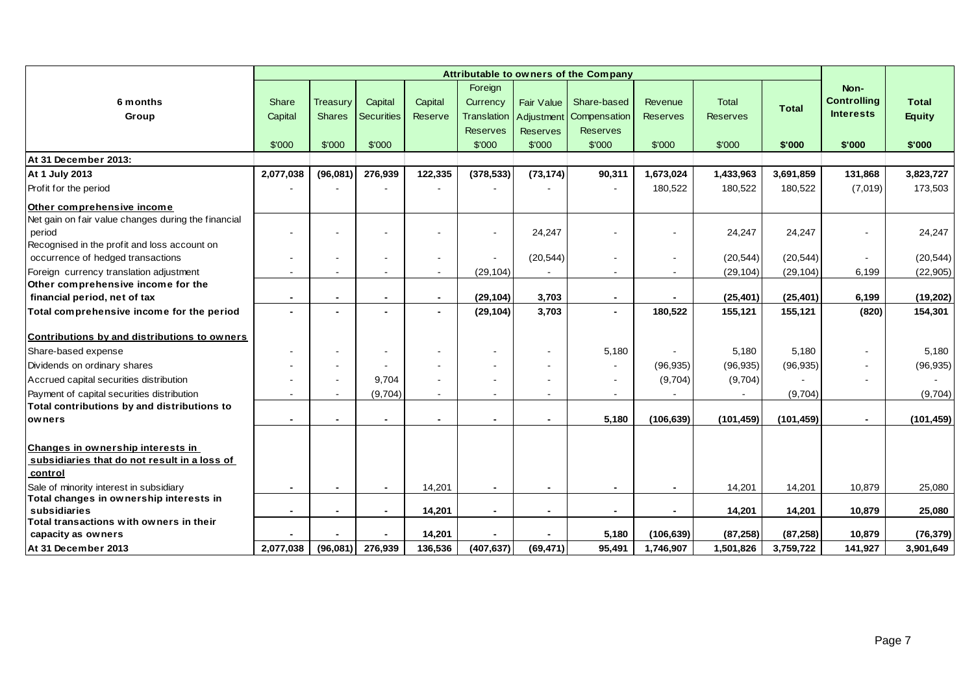|                                                                                   |                |                |                   |                | Foreign            |                 |                          |                          |                 |              | Non-               |               |
|-----------------------------------------------------------------------------------|----------------|----------------|-------------------|----------------|--------------------|-----------------|--------------------------|--------------------------|-----------------|--------------|--------------------|---------------|
| 6 months                                                                          | Share          | Treasury       | Capital           | Capital        | Currency           | Fair Value      | Share-based              | Revenue                  | Total           | <b>Total</b> | <b>Controlling</b> | <b>Total</b>  |
| Group                                                                             | Capital        | <b>Shares</b>  | <b>Securities</b> | Reserve        | <b>Translation</b> | Adjustment      | Compensation             | <b>Reserves</b>          | <b>Reserves</b> |              | <b>Interests</b>   | <b>Equity</b> |
|                                                                                   |                |                |                   |                | <b>Reserves</b>    | <b>Reserves</b> | <b>Reserves</b>          |                          |                 |              |                    |               |
|                                                                                   | \$'000         | \$'000         | \$'000            |                | \$'000             | \$'000          | \$'000                   | \$'000                   | \$'000          | \$'000       | \$'000             | \$'000        |
| At 31 December 2013:                                                              |                |                |                   |                |                    |                 |                          |                          |                 |              |                    |               |
| At 1 July 2013                                                                    | 2,077,038      | (96,081)       | 276,939           | 122,335        | (378, 533)         | (73, 174)       | 90,311                   | 1,673,024                | 1,433,963       | 3,691,859    | 131,868            | 3,823,727     |
| Profit for the period                                                             |                |                |                   |                |                    |                 |                          | 180,522                  | 180,522         | 180,522      | (7,019)            | 173,503       |
| Other comprehensive income                                                        |                |                |                   |                |                    |                 |                          |                          |                 |              |                    |               |
| Net gain on fair value changes during the financial                               |                |                |                   |                |                    |                 |                          |                          |                 |              |                    |               |
| period                                                                            |                |                |                   |                |                    | 24,247          |                          |                          | 24,247          | 24,247       |                    | 24,247        |
| Recognised in the profit and loss account on<br>occurrence of hedged transactions | $\blacksquare$ |                |                   |                |                    | (20, 544)       |                          | $\overline{\phantom{a}}$ | (20, 544)       | (20, 544)    |                    | (20, 544)     |
| Foreign currency translation adjustment                                           |                |                |                   |                | (29, 104)          |                 |                          |                          | (29, 104)       | (29, 104)    | 6,199              | (22, 905)     |
| Other comprehensive income for the                                                |                |                |                   |                |                    |                 |                          |                          |                 |              |                    |               |
| financial period, net of tax                                                      | $\blacksquare$ | $\blacksquare$ | $\blacksquare$    | $\sim$         | (29, 104)          | 3,703           | $\blacksquare$           | $\blacksquare$           | (25, 401)       | (25, 401)    | 6,199              | (19, 202)     |
| Total comprehensive income for the period                                         |                |                |                   | $\overline{a}$ | (29, 104)          | 3,703           |                          | 180,522                  | 155,121         | 155,121      | (820)              | 154,301       |
| Contributions by and distributions to owners                                      |                |                |                   |                |                    |                 |                          |                          |                 |              |                    |               |
| Share-based expense                                                               |                |                |                   |                |                    | $\blacksquare$  | 5,180                    |                          | 5.180           | 5.180        |                    | 5,180         |
| Dividends on ordinary shares                                                      |                |                |                   |                |                    | $\overline{a}$  |                          | (96, 935)                | (96, 935)       | (96, 935)    |                    | (96, 935)     |
| Accrued capital securities distribution                                           |                | $\mathbf{r}$   | 9,704             |                |                    |                 |                          | (9,704)                  | (9,704)         |              |                    |               |
| Payment of capital securities distribution                                        |                |                | (9,704)           |                |                    | $\blacksquare$  |                          |                          |                 | (9,704)      |                    | (9,704)       |
| Total contributions by and distributions to                                       |                |                |                   |                |                    |                 |                          |                          |                 |              |                    |               |
| owners                                                                            |                |                |                   |                |                    | $\blacksquare$  | 5,180                    | (106, 639)               | (101, 459)      | (101, 459)   |                    | (101, 459)    |
|                                                                                   |                |                |                   |                |                    |                 |                          |                          |                 |              |                    |               |
| <b>Changes in ownership interests in</b>                                          |                |                |                   |                |                    |                 |                          |                          |                 |              |                    |               |
| subsidiaries that do not result in a loss of<br>control                           |                |                |                   |                |                    |                 |                          |                          |                 |              |                    |               |
| Sale of minority interest in subsidiary                                           | $\blacksquare$ | $\blacksquare$ | $\blacksquare$    | 14,201         | $\blacksquare$     | $\blacksquare$  | $\overline{\phantom{a}}$ | $\blacksquare$           | 14,201          | 14,201       | 10,879             | 25,080        |
| Total changes in ownership interests in                                           |                |                |                   |                |                    |                 |                          |                          |                 |              |                    |               |
| subsidiaries                                                                      |                |                |                   | 14,201         |                    | $\blacksquare$  |                          |                          | 14,201          | 14,201       | 10,879             | 25,080        |
| Total transactions with owners in their<br>capacity as owners                     |                |                |                   | 14,201         |                    |                 | 5,180                    | (106, 639)               | (87, 258)       | (87, 258)    | 10,879             | (76, 379)     |
| At 31 December 2013                                                               | 2,077,038      | (96,081)       | 276,939           | 136,536        | (407, 637)         | (69, 471)       | 95,491                   | 1,746,907                | 1,501,826       | 3,759,722    | 141,927            | 3,901,649     |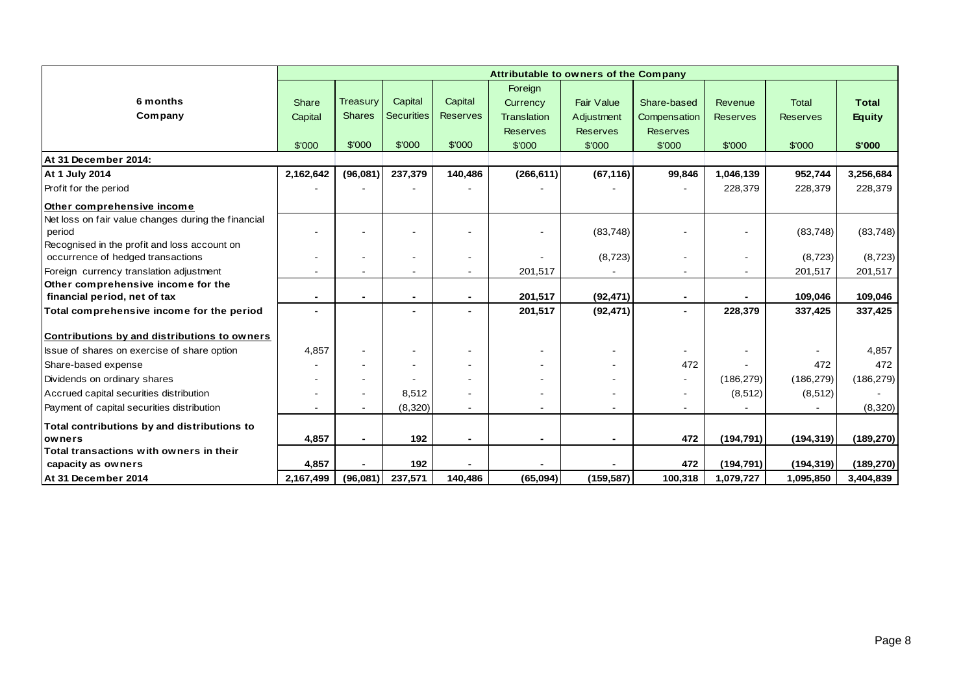|                                                     |                |                          |                          |                 | Attributable to owners of the Company |                   |                          |                 |                 |               |
|-----------------------------------------------------|----------------|--------------------------|--------------------------|-----------------|---------------------------------------|-------------------|--------------------------|-----------------|-----------------|---------------|
|                                                     |                |                          |                          |                 | Foreign                               |                   |                          |                 |                 |               |
| 6 months                                            | Share          | Treasury                 | Capital                  | Capital         | Currency                              | <b>Fair Value</b> | Share-based              | Revenue         | <b>Total</b>    | <b>Total</b>  |
| Company                                             | Capital        | <b>Shares</b>            | Securities               | <b>Reserves</b> | Translation                           | Adjustment        | Compensation             | <b>Reserves</b> | <b>Reserves</b> | <b>Equity</b> |
|                                                     |                |                          |                          |                 | <b>Reserves</b>                       | <b>Reserves</b>   | <b>Reserves</b>          |                 |                 |               |
|                                                     | \$'000         | \$'000                   | \$'000                   | \$'000          | \$'000                                | \$'000            | \$'000                   | \$'000          | \$'000          | \$'000        |
| At 31 December 2014:                                |                |                          |                          |                 |                                       |                   |                          |                 |                 |               |
| At 1 July 2014                                      | 2,162,642      | (96,081)                 | 237,379                  | 140,486         | (266, 611)                            | (67, 116)         | 99,846                   | 1,046,139       | 952,744         | 3,256,684     |
| Profit for the period                               |                |                          |                          |                 |                                       |                   |                          | 228,379         | 228,379         | 228,379       |
| Other comprehensive income                          |                |                          |                          |                 |                                       |                   |                          |                 |                 |               |
| Net loss on fair value changes during the financial |                |                          |                          |                 |                                       |                   |                          |                 |                 |               |
| period                                              |                |                          |                          |                 |                                       | (83, 748)         |                          |                 | (83, 748)       | (83, 748)     |
| Recognised in the profit and loss account on        |                |                          |                          |                 |                                       |                   |                          |                 |                 |               |
| occurrence of hedged transactions                   |                | ۰                        | $\overline{\phantom{a}}$ | $\blacksquare$  |                                       | (8,723)           | $\blacksquare$           |                 | (8, 723)        | (8, 723)      |
| Foreign currency translation adjustment             |                | $\blacksquare$           |                          |                 | 201,517                               |                   | $\blacksquare$           |                 | 201,517         | 201,517       |
| Other comprehensive income for the                  |                |                          |                          |                 |                                       |                   |                          |                 |                 |               |
| financial period, net of tax                        | $\blacksquare$ | $\blacksquare$           |                          | $\blacksquare$  | 201,517                               | (92, 471)         | $\blacksquare$           |                 | 109,046         | 109,046       |
| Total comprehensive income for the period           | $\blacksquare$ |                          |                          |                 | 201,517                               | (92, 471)         | $\blacksquare$           | 228,379         | 337,425         | 337,425       |
| Contributions by and distributions to owners        |                |                          |                          |                 |                                       |                   |                          |                 |                 |               |
| Issue of shares on exercise of share option         | 4,857          | $\blacksquare$           |                          |                 |                                       |                   | $\overline{\phantom{a}}$ |                 |                 | 4,857         |
| Share-based expense                                 |                | ۰                        |                          |                 |                                       |                   | 472                      |                 | 472             | 472           |
| Dividends on ordinary shares                        |                | ۰                        |                          |                 |                                       |                   | $\blacksquare$           | (186, 279)      | (186, 279)      | (186, 279)    |
| Accrued capital securities distribution             |                | ۰                        | 8,512                    |                 |                                       |                   | $\blacksquare$           | (8, 512)        | (8, 512)        |               |
| Payment of capital securities distribution          |                |                          | (8,320)                  |                 |                                       |                   |                          |                 |                 | (8,320)       |
| Total contributions by and distributions to         |                |                          |                          |                 |                                       |                   |                          |                 |                 |               |
| <b>lowners</b>                                      | 4,857          | $\overline{\phantom{0}}$ | 192                      |                 |                                       |                   | 472                      | (194, 791)      | (194, 319)      | (189, 270)    |
| Total transactions with owners in their             |                |                          |                          |                 |                                       |                   |                          |                 |                 |               |
| capacity as owners                                  | 4,857          |                          | 192                      |                 |                                       |                   | 472                      | (194, 791)      | (194, 319)      | (189, 270)    |
| At 31 December 2014                                 | 2,167,499      | (96,081)                 | 237,571                  | 140,486         | (65,094)                              | (159, 587)        | 100,318                  | 1,079,727       | 1,095,850       | 3,404,839     |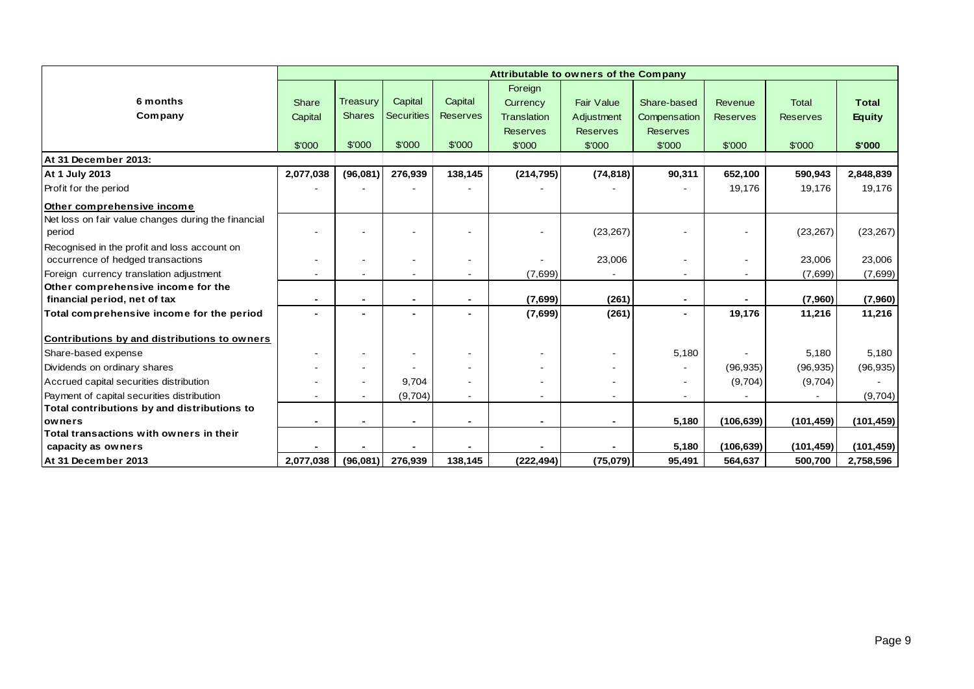|                                                     |                |                          |                   |                 | Attributable to owners of the Company |                   |                 |                 |                 |               |
|-----------------------------------------------------|----------------|--------------------------|-------------------|-----------------|---------------------------------------|-------------------|-----------------|-----------------|-----------------|---------------|
|                                                     |                |                          |                   |                 | Foreign                               |                   |                 |                 |                 |               |
| 6 months                                            | Share          | <b>Treasury</b>          | Capital           | Capital         | Currency                              | <b>Fair Value</b> | Share-based     | Revenue         | <b>Total</b>    | <b>Total</b>  |
| Company                                             | Capital        | <b>Shares</b>            | <b>Securities</b> | <b>Reserves</b> | Translation                           | Adjustment        | Compensation    | <b>Reserves</b> | <b>Reserves</b> | <b>Equity</b> |
|                                                     |                |                          |                   |                 | <b>Reserves</b>                       | <b>Reserves</b>   | <b>Reserves</b> |                 |                 |               |
|                                                     | \$'000         | \$'000                   | \$'000            | \$'000          | \$'000                                | \$'000            | \$'000          | \$'000          | \$'000          | \$'000        |
| At 31 December 2013:                                |                |                          |                   |                 |                                       |                   |                 |                 |                 |               |
| At 1 July 2013                                      | 2,077,038      | (96,081)                 | 276,939           | 138,145         | (214, 795)                            | (74, 818)         | 90,311          | 652,100         | 590,943         | 2,848,839     |
| Profit for the period                               |                |                          |                   |                 |                                       |                   |                 | 19,176          | 19,176          | 19,176        |
| Other comprehensive income                          |                |                          |                   |                 |                                       |                   |                 |                 |                 |               |
| Net loss on fair value changes during the financial |                |                          |                   |                 |                                       |                   |                 |                 |                 |               |
| period                                              |                |                          |                   |                 |                                       | (23, 267)         |                 |                 | (23, 267)       | (23, 267)     |
| Recognised in the profit and loss account on        |                |                          |                   |                 |                                       |                   |                 |                 |                 |               |
| occurrence of hedged transactions                   |                |                          |                   |                 |                                       | 23,006            |                 |                 | 23,006          | 23,006        |
| Foreign currency translation adjustment             |                | $\overline{a}$           |                   |                 | (7,699)                               |                   | $\blacksquare$  |                 | (7,699)         | (7,699)       |
| Other comprehensive income for the                  |                |                          |                   |                 |                                       |                   |                 |                 |                 |               |
| financial period, net of tax                        | $\blacksquare$ | $\blacksquare$           |                   | $\blacksquare$  | (7,699)                               | (261)             | $\blacksquare$  |                 | (7,960)         | (7,960)       |
| Total comprehensive income for the period           | $\blacksquare$ | $\blacksquare$           |                   |                 | (7,699)                               | (261)             | $\blacksquare$  | 19,176          | 11,216          | 11,216        |
| Contributions by and distributions to owners        |                |                          |                   |                 |                                       |                   |                 |                 |                 |               |
| Share-based expense                                 |                | $\overline{\phantom{a}}$ |                   |                 | $\overline{\phantom{a}}$              | ۰                 | 5,180           |                 | 5,180           | 5,180         |
| Dividends on ordinary shares                        |                | $\blacksquare$           |                   |                 |                                       |                   |                 | (96, 935)       | (96, 935)       | (96, 935)     |
| Accrued capital securities distribution             |                | $\overline{\phantom{a}}$ | 9,704             |                 |                                       | ۰                 | $\blacksquare$  | (9,704)         | (9,704)         |               |
| Payment of capital securities distribution          |                | $\sim$                   | (9,704)           |                 | $\blacksquare$                        | Ξ.                | $\sim$          |                 |                 | (9,704)       |
| Total contributions by and distributions to         |                |                          |                   |                 |                                       |                   |                 |                 |                 |               |
| <b>lowners</b>                                      |                |                          |                   |                 |                                       |                   | 5,180           | (106, 639)      | (101, 459)      | (101, 459)    |
| Total transactions with owners in their             |                |                          |                   |                 |                                       |                   |                 |                 |                 |               |
| capacity as owners                                  |                |                          |                   |                 |                                       |                   | 5,180           | (106, 639)      | (101, 459)      | (101, 459)    |
| At 31 December 2013                                 | 2,077,038      | (96,081)                 | 276,939           | 138,145         | (222, 494)                            | (75,079)          | 95,491          | 564,637         | 500,700         | 2,758,596     |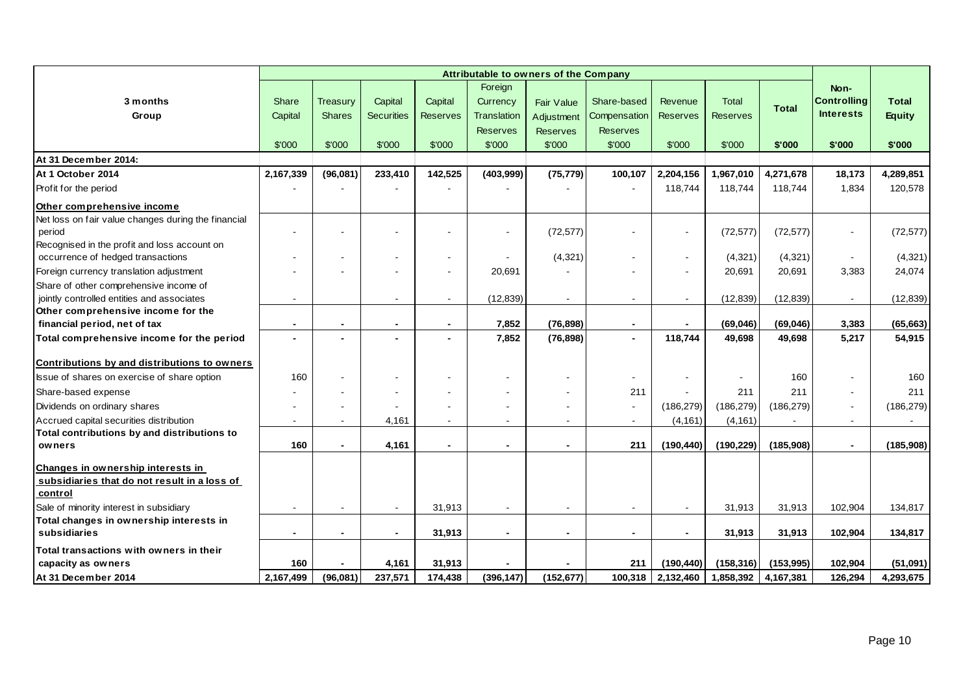|                                                     |                |                          |                          |                 |                 | Attributable to owners of the Company |                 |                          |                 |              |                    |               |
|-----------------------------------------------------|----------------|--------------------------|--------------------------|-----------------|-----------------|---------------------------------------|-----------------|--------------------------|-----------------|--------------|--------------------|---------------|
|                                                     |                |                          |                          |                 | Foreign         |                                       |                 |                          |                 |              | Non-               |               |
| 3 months                                            | Share          | Treasury                 | Capital                  | Capital         | Currency        | <b>Fair Value</b>                     | Share-based     | Revenue                  | <b>Total</b>    | <b>Total</b> | <b>Controlling</b> | <b>Total</b>  |
| Group                                               | Capital        | <b>Shares</b>            | <b>Securities</b>        | <b>Reserves</b> | Translation     | Adjustment                            | Compensation    | <b>Reserves</b>          | <b>Reserves</b> |              | <b>Interests</b>   | <b>Equity</b> |
|                                                     |                |                          |                          |                 | <b>Reserves</b> | <b>Reserves</b>                       | <b>Reserves</b> |                          |                 |              |                    |               |
|                                                     | \$'000         | \$'000                   | \$'000                   | \$'000          | \$'000          | \$'000                                | \$'000          | \$'000                   | \$'000          | \$'000       | \$'000             | \$'000        |
| At 31 December 2014:                                |                |                          |                          |                 |                 |                                       |                 |                          |                 |              |                    |               |
| At 1 October 2014                                   | 2,167,339      | (96,081)                 | 233,410                  | 142,525         | (403,999)       | (75, 779)                             | 100,107         | 2,204,156                | 1,967,010       | 4,271,678    | 18,173             | 4,289,851     |
| Profit for the period                               |                |                          |                          |                 |                 |                                       |                 | 118,744                  | 118,744         | 118,744      | 1,834              | 120,578       |
| Other comprehensive income                          |                |                          |                          |                 |                 |                                       |                 |                          |                 |              |                    |               |
| Net loss on fair value changes during the financial |                |                          |                          |                 |                 |                                       |                 |                          |                 |              |                    |               |
| period                                              |                |                          |                          |                 |                 | (72, 577)                             |                 | $\sim$                   | (72, 577)       | (72, 577)    | $\sim$             | (72, 577)     |
| Recognised in the profit and loss account on        |                |                          |                          |                 |                 |                                       |                 |                          |                 |              |                    |               |
| occurrence of hedged transactions                   |                |                          |                          |                 |                 | (4, 321)                              |                 |                          | (4,321)         | (4,321)      |                    | (4,321)       |
| Foreign currency translation adjustment             |                |                          |                          |                 | 20,691          |                                       |                 |                          | 20,691          | 20,691       | 3,383              | 24,074        |
| Share of other comprehensive income of              |                |                          |                          |                 |                 |                                       |                 |                          |                 |              |                    |               |
| jointly controlled entities and associates          |                |                          | $\sim$                   |                 | (12, 839)       | $\sim$                                | $\sim$          |                          | (12, 839)       | (12, 839)    | $\sim$             | (12, 839)     |
| Other comprehensive income for the                  |                |                          |                          |                 |                 |                                       |                 |                          |                 |              |                    |               |
| financial period, net of tax                        |                |                          | $\blacksquare$           | $\blacksquare$  | 7,852           | (76, 898)                             | $\blacksquare$  |                          | (69, 046)       | (69,046)     | 3,383              | (65, 663)     |
| Total comprehensive income for the period           |                |                          | $\overline{\phantom{0}}$ |                 | 7,852           | (76, 898)                             | $\blacksquare$  | 118,744                  | 49,698          | 49,698       | 5,217              | 54,915        |
| Contributions by and distributions to owners        |                |                          |                          |                 |                 |                                       |                 |                          |                 |              |                    |               |
| Issue of shares on exercise of share option         | 160            |                          |                          |                 |                 |                                       | $\sim$          |                          |                 | 160          |                    | 160           |
| Share-based expense                                 |                |                          |                          |                 |                 |                                       | 211             |                          | 211             | 211          |                    | 211           |
| Dividends on ordinary shares                        |                |                          |                          |                 |                 |                                       | $\mathbf{r}$    | (186, 279)               | (186, 279)      | (186, 279)   | $\sim$             | (186, 279)    |
| Accrued capital securities distribution             |                |                          | 4,161                    |                 |                 |                                       | $\sim$          | (4, 161)                 | (4, 161)        |              |                    |               |
| Total contributions by and distributions to         |                |                          |                          |                 |                 |                                       |                 |                          |                 |              |                    |               |
| owners                                              | 160            |                          | 4,161                    |                 |                 |                                       | 211             | (190, 440)               | (190, 229)      | (185,908)    | $\blacksquare$     | (185,908)     |
| Changes in ownership interests in                   |                |                          |                          |                 |                 |                                       |                 |                          |                 |              |                    |               |
| subsidiaries that do not result in a loss of        |                |                          |                          |                 |                 |                                       |                 |                          |                 |              |                    |               |
| control                                             |                |                          |                          |                 |                 |                                       |                 |                          |                 |              |                    |               |
| Sale of minority interest in subsidiary             |                |                          | $\sim$                   | 31,913          |                 |                                       | $\sim$          |                          | 31,913          | 31,913       | 102,904            | 134,817       |
| Total changes in ownership interests in             |                |                          |                          |                 |                 |                                       |                 |                          |                 |              |                    |               |
| subsidiaries                                        | $\blacksquare$ | $\overline{\phantom{a}}$ | $\sim$                   | 31,913          | $\blacksquare$  | $\blacksquare$                        | $\blacksquare$  | $\overline{\phantom{a}}$ | 31,913          | 31,913       | 102,904            | 134,817       |
| Total transactions with owners in their             |                |                          |                          |                 |                 |                                       |                 |                          |                 |              |                    |               |
| capacity as owners                                  | 160            |                          | 4,161                    | 31,913          |                 |                                       | 211             | (190, 440)               | (158, 316)      | (153, 995)   | 102,904            | (51,091)      |
| At 31 December 2014                                 | 2,167,499      | (96,081)                 | 237,571                  | 174,438         | (396, 147)      | (152, 677)                            | 100,318         | 2,132,460                | 1,858,392       | 4,167,381    | 126,294            | 4,293,675     |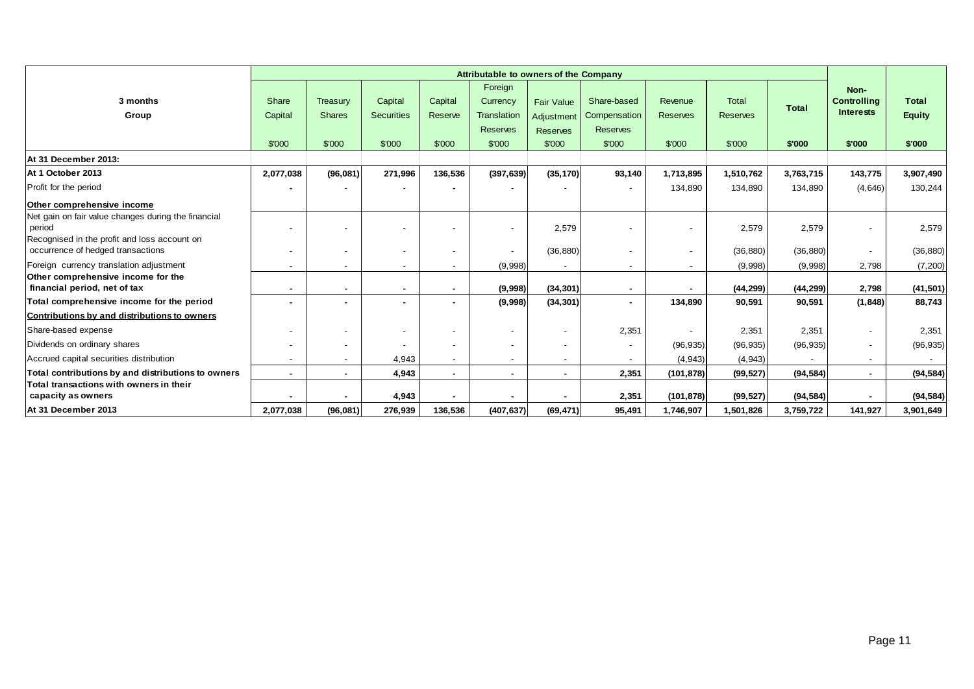|                                                                                   |                          |               |                   |         | Foreign                  |                   |                          |                          |                 |              | Non-                     |               |
|-----------------------------------------------------------------------------------|--------------------------|---------------|-------------------|---------|--------------------------|-------------------|--------------------------|--------------------------|-----------------|--------------|--------------------------|---------------|
| 3 months                                                                          | Share                    | Treasury      | Capital           | Capital | Currency                 | <b>Fair Value</b> | Share-based              | Revenue                  | <b>Total</b>    | <b>Total</b> | <b>Controlling</b>       | <b>Total</b>  |
| Group                                                                             | Capital                  | <b>Shares</b> | <b>Securities</b> | Reserve | Translation              | Adjustment        | Compensation             | <b>Reserves</b>          | <b>Reserves</b> |              | <b>Interests</b>         | <b>Equity</b> |
|                                                                                   |                          |               |                   |         | <b>Reserves</b>          | <b>Reserves</b>   | <b>Reserves</b>          |                          |                 |              |                          |               |
|                                                                                   | \$'000                   | \$'000        | \$'000            | \$'000  | \$'000                   | \$'000            | \$'000                   | \$'000                   | \$'000          | \$'000       | \$'000                   | \$'000        |
| At 31 December 2013:                                                              |                          |               |                   |         |                          |                   |                          |                          |                 |              |                          |               |
| At 1 October 2013                                                                 | 2,077,038                | (96,081)      | 271,996           | 136,536 | (397, 639)               | (35, 170)         | 93,140                   | 1,713,895                | 1,510,762       | 3,763,715    | 143,775                  | 3,907,490     |
| Profit for the period                                                             |                          |               |                   |         |                          |                   |                          | 134,890                  | 134,890         | 134,890      | (4,646)                  | 130,244       |
| Other comprehensive income                                                        |                          |               |                   |         |                          |                   |                          |                          |                 |              |                          |               |
| Net gain on fair value changes during the financial                               |                          |               |                   |         |                          |                   |                          |                          |                 |              |                          |               |
| period                                                                            |                          |               |                   |         |                          | 2,579             |                          |                          | 2,579           | 2,579        | $\overline{\phantom{a}}$ | 2,579         |
| Recognised in the profit and loss account on<br>occurrence of hedged transactions | $\overline{\phantom{a}}$ |               |                   |         | $\overline{\phantom{a}}$ | (36, 880)         |                          | $\overline{\phantom{a}}$ | (36, 880)       | (36, 880)    | $\overline{\phantom{a}}$ | (36, 880)     |
| Foreign currency translation adjustment                                           |                          |               |                   |         | (9,998)                  |                   |                          |                          | (9,998)         | (9,998)      | 2,798                    | (7, 200)      |
| Other comprehensive income for the                                                |                          |               |                   |         |                          |                   |                          |                          |                 |              |                          |               |
| financial period, net of tax                                                      |                          |               |                   |         | (9,998)                  | (34, 301)         |                          |                          | (44, 299)       | (44, 299)    | 2,798                    | (41, 501)     |
| Total comprehensive income for the period                                         |                          |               |                   |         | (9,998)                  | (34, 301)         | $\sim$                   | 134,890                  | 90,591          | 90,591       | (1, 848)                 | 88,743        |
| Contributions by and distributions to owners                                      |                          |               |                   |         |                          |                   |                          |                          |                 |              |                          |               |
| Share-based expense                                                               |                          |               |                   |         |                          |                   | 2,351                    |                          | 2,351           | 2,351        | $\overline{\phantom{a}}$ | 2,351         |
| Dividends on ordinary shares                                                      |                          |               |                   |         |                          |                   | $\overline{\phantom{a}}$ | (96, 935)                | (96, 935)       | (96, 935)    | $\overline{\phantom{a}}$ | (96, 935)     |
| Accrued capital securities distribution                                           |                          |               | 4,943             |         |                          |                   | $\sim$                   | (4, 943)                 | (4,943)         |              | $\overline{\phantom{a}}$ |               |
| Total contributions by and distributions to owners                                |                          |               | 4,943             |         |                          |                   | 2,351                    | (101, 878)               | (99, 527)       | (94, 584)    | $\sim$                   | (94, 584)     |
| Total transactions with owners in their                                           |                          |               |                   |         |                          |                   |                          |                          |                 |              |                          |               |
| capacity as owners                                                                | $\blacksquare$           |               | 4,943             |         |                          |                   | 2,351                    | (101, 878)               | (99, 527)       | (94, 584)    | $\sim$                   | (94, 584)     |
| At 31 December 2013                                                               | 2,077,038                | (96,081)      | 276,939           | 136,536 | (407, 637)               | (69, 471)         | 95,491                   | 1,746,907                | 1,501,826       | 3,759,722    | 141,927                  | 3,901,649     |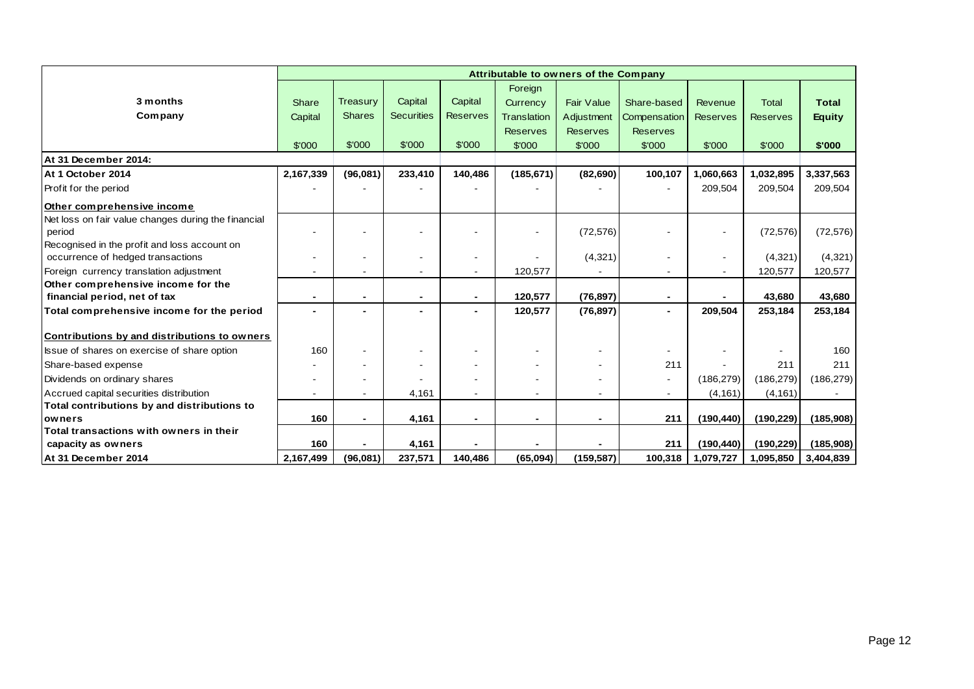|                                                     | Attributable to owners of the Company |               |                   |                 |                    |                   |                 |                 |                 |               |
|-----------------------------------------------------|---------------------------------------|---------------|-------------------|-----------------|--------------------|-------------------|-----------------|-----------------|-----------------|---------------|
|                                                     |                                       |               |                   |                 | Foreign            |                   |                 |                 |                 |               |
| 3 months                                            | Share                                 | Treasury      | Capital           | Capital         | Currency           | <b>Fair Value</b> | Share-based     | Revenue         | <b>Total</b>    | <b>Total</b>  |
| Company                                             | Capital                               | <b>Shares</b> | <b>Securities</b> | <b>Reserves</b> | <b>Translation</b> | Adjustment        | Compensation    | <b>Reserves</b> | <b>Reserves</b> | <b>Equity</b> |
|                                                     |                                       |               |                   |                 | <b>Reserves</b>    | <b>Reserves</b>   | <b>Reserves</b> |                 |                 |               |
|                                                     | \$'000                                | \$'000        | \$'000            | \$'000          | \$'000             | \$'000            | \$'000          | \$'000          | \$'000          | \$'000        |
| At 31 December 2014:                                |                                       |               |                   |                 |                    |                   |                 |                 |                 |               |
| At 1 October 2014                                   | 2,167,339                             | (96,081)      | 233,410           | 140,486         | (185, 671)         | (82, 690)         | 100,107         | 1,060,663       | 1,032,895       | 3,337,563     |
| Profit for the period                               |                                       |               |                   |                 |                    |                   |                 | 209,504         | 209,504         | 209,504       |
| Other comprehensive income                          |                                       |               |                   |                 |                    |                   |                 |                 |                 |               |
| Net loss on fair value changes during the financial |                                       |               |                   |                 |                    |                   |                 |                 |                 |               |
| period                                              |                                       |               |                   |                 |                    | (72, 576)         |                 |                 | (72, 576)       | (72, 576)     |
| Recognised in the profit and loss account on        |                                       |               |                   |                 |                    |                   |                 |                 |                 |               |
| occurrence of hedged transactions                   |                                       |               |                   |                 |                    | (4,321)           |                 |                 | (4,321)         | (4,321)       |
| Foreign currency translation adjustment             |                                       |               |                   |                 | 120,577            |                   |                 |                 | 120,577         | 120,577       |
| Other comprehensive income for the                  |                                       |               |                   |                 |                    |                   |                 |                 |                 |               |
| financial period, net of tax                        |                                       |               |                   | $\blacksquare$  | 120,577            | (76, 897)         | $\blacksquare$  |                 | 43,680          | 43,680        |
| Total comprehensive income for the period           |                                       |               |                   |                 | 120,577            | (76, 897)         | $\blacksquare$  | 209,504         | 253,184         | 253,184       |
|                                                     |                                       |               |                   |                 |                    |                   |                 |                 |                 |               |
| Contributions by and distributions to owners        |                                       |               |                   |                 |                    |                   |                 |                 |                 |               |
| Issue of shares on exercise of share option         | 160                                   |               |                   |                 |                    |                   |                 |                 |                 | 160           |
| Share-based expense                                 |                                       |               |                   |                 |                    |                   | 211             |                 | 211             | 211           |
| Dividends on ordinary shares                        |                                       |               |                   |                 |                    |                   | $\blacksquare$  | (186, 279)      | (186, 279)      | (186, 279)    |
| Accrued capital securities distribution             |                                       |               | 4,161             |                 |                    |                   |                 | (4, 161)        | (4, 161)        |               |
| Total contributions by and distributions to         |                                       |               |                   |                 |                    |                   |                 |                 |                 |               |
| owners                                              | 160                                   |               | 4,161             |                 | $\blacksquare$     | $\blacksquare$    | 211             | (190, 440)      | (190, 229)      | (185,908)     |
| Total transactions with owners in their             |                                       |               |                   |                 |                    |                   |                 |                 |                 |               |
| capacity as owners                                  | 160                                   |               | 4,161             |                 |                    |                   | 211             | (190, 440)      | (190, 229)      | (185,908)     |
| At 31 December 2014                                 | 2,167,499                             | (96,081)      | 237,571           | 140,486         | (65,094)           | (159, 587)        | 100,318         | 1,079,727       | 1,095,850       | 3,404,839     |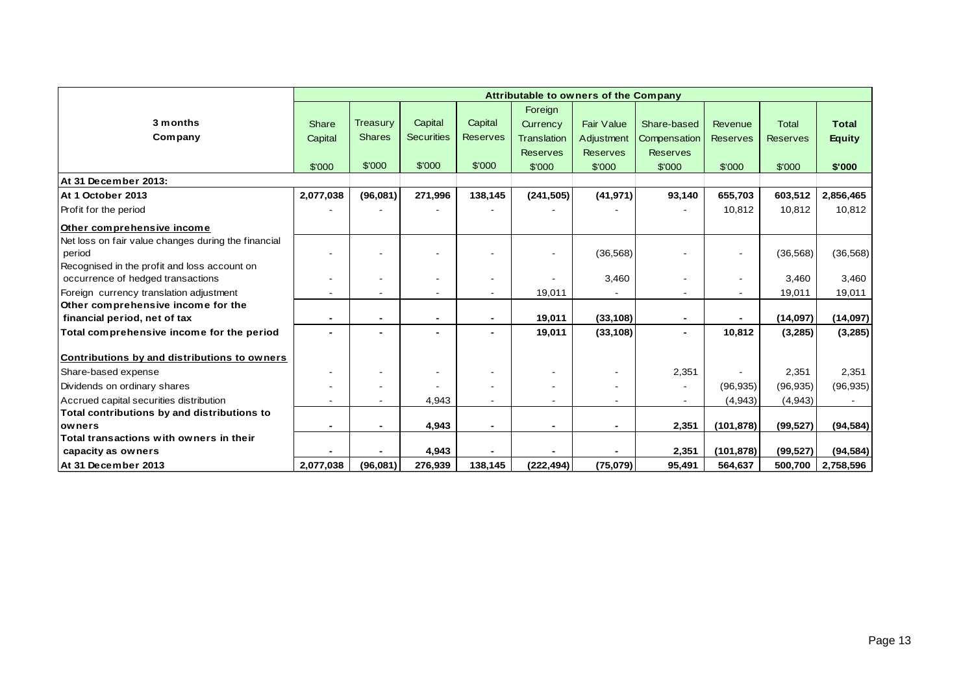|                                                     | Attributable to owners of the Company |                 |                   |                 |                          |                   |                 |                 |                 |               |
|-----------------------------------------------------|---------------------------------------|-----------------|-------------------|-----------------|--------------------------|-------------------|-----------------|-----------------|-----------------|---------------|
|                                                     |                                       |                 |                   |                 | Foreign                  |                   |                 |                 |                 |               |
| 3 months                                            | Share                                 | <b>Treasury</b> | Capital           | Capital         | Currency                 | <b>Fair Value</b> | Share-based     | Revenue         | <b>Total</b>    | <b>Total</b>  |
| Company                                             | Capital                               | <b>Shares</b>   | <b>Securities</b> | <b>Reserves</b> | <b>Translation</b>       | Adjustment        | Compensation    | <b>Reserves</b> | <b>Reserves</b> | <b>Equity</b> |
|                                                     |                                       |                 |                   |                 | <b>Reserves</b>          | <b>Reserves</b>   | <b>Reserves</b> |                 |                 |               |
|                                                     | \$'000                                | \$'000          | \$'000            | \$'000          | \$'000                   | \$'000            | \$'000          | \$'000          | \$'000          | \$'000        |
| At 31 December 2013:                                |                                       |                 |                   |                 |                          |                   |                 |                 |                 |               |
| At 1 October 2013                                   | 2,077,038                             | (96,081)        | 271,996           | 138,145         | (241, 505)               | (41, 971)         | 93,140          | 655,703         | 603,512         | 2,856,465     |
| Profit for the period                               |                                       |                 |                   |                 |                          |                   |                 | 10,812          | 10,812          | 10,812        |
| Other comprehensive income                          |                                       |                 |                   |                 |                          |                   |                 |                 |                 |               |
| Net loss on fair value changes during the financial |                                       |                 |                   |                 |                          |                   |                 |                 |                 |               |
| period                                              |                                       |                 |                   |                 |                          | (36, 568)         |                 |                 | (36, 568)       | (36, 568)     |
| Recognised in the profit and loss account on        |                                       |                 |                   |                 |                          |                   |                 |                 |                 |               |
| occurrence of hedged transactions                   |                                       |                 |                   |                 |                          | 3,460             |                 |                 | 3,460           | 3,460         |
| Foreign currency translation adjustment             |                                       |                 |                   | $\blacksquare$  | 19,011                   |                   |                 |                 | 19,011          | 19,011        |
| Other comprehensive income for the                  |                                       |                 |                   |                 |                          |                   |                 |                 |                 |               |
| financial period, net of tax                        |                                       |                 |                   | -               | 19,011                   | (33, 108)         |                 |                 | (14,097)        | (14, 097)     |
| Total comprehensive income for the period           |                                       |                 |                   | -               | 19,011                   | (33, 108)         |                 | 10,812          | (3,285)         | (3, 285)      |
| Contributions by and distributions to owners        |                                       |                 |                   |                 |                          |                   |                 |                 |                 |               |
| Share-based expense                                 |                                       |                 |                   |                 | $\overline{\phantom{a}}$ |                   | 2,351           |                 | 2,351           | 2,351         |
| Dividends on ordinary shares                        |                                       |                 |                   |                 |                          |                   |                 | (96, 935)       | (96, 935)       | (96, 935)     |
| Accrued capital securities distribution             |                                       |                 | 4,943             |                 |                          |                   |                 | (4,943)         | (4,943)         |               |
| Total contributions by and distributions to         |                                       |                 |                   |                 |                          |                   |                 |                 |                 |               |
| <b>lowners</b>                                      |                                       |                 | 4,943             | -               | $\overline{\phantom{0}}$ | $\blacksquare$    | 2,351           | (101, 878)      | (99, 527)       | (94, 584)     |
| Total transactions with owners in their             |                                       |                 |                   |                 |                          |                   |                 |                 |                 |               |
| capacity as owners                                  |                                       |                 | 4,943             |                 |                          |                   | 2,351           | (101, 878)      | (99, 527)       | (94, 584)     |
| At 31 December 2013                                 | 2,077,038                             | (96,081)        | 276,939           | 138,145         | (222, 494)               | (75,079)          | 95,491          | 564,637         | 500,700         | 2,758,596     |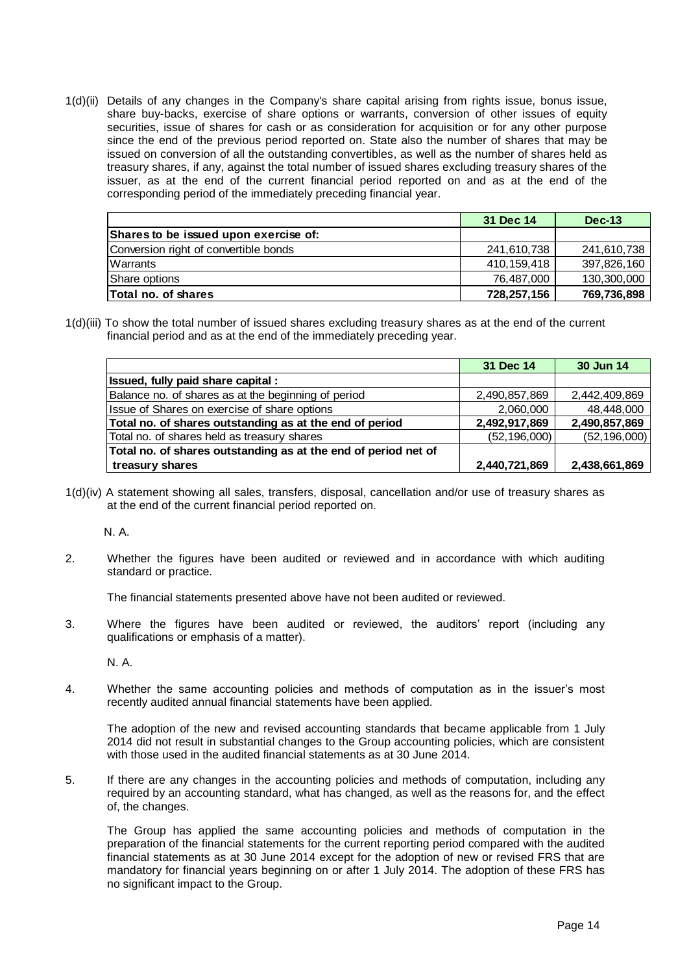1(d)(ii) Details of any changes in the Company's share capital arising from rights issue, bonus issue, share buy-backs, exercise of share options or warrants, conversion of other issues of equity securities, issue of shares for cash or as consideration for acquisition or for any other purpose since the end of the previous period reported on. State also the number of shares that may be issued on conversion of all the outstanding convertibles, as well as the number of shares held as treasury shares, if any, against the total number of issued shares excluding treasury shares of the issuer, as at the end of the current financial period reported on and as at the end of the corresponding period of the immediately preceding financial year.

|                                       | 31 Dec 14     | <b>Dec-13</b> |
|---------------------------------------|---------------|---------------|
| Shares to be issued upon exercise of: |               |               |
| Conversion right of convertible bonds | 241,610,738   | 241,610,738   |
| Warrants                              | 410, 159, 418 | 397,826,160   |
| Share options                         | 76,487,000    | 130,300,000   |
| <b>Total no. of shares</b>            | 728,257,156   | 769,736,898   |

1(d)(iii) To show the total number of issued shares excluding treasury shares as at the end of the current financial period and as at the end of the immediately preceding year.

|                                                                | 31 Dec 14      | 30 Jun 14      |
|----------------------------------------------------------------|----------------|----------------|
| Issued, fully paid share capital:                              |                |                |
| Balance no. of shares as at the beginning of period            | 2,490,857,869  | 2,442,409,869  |
| Issue of Shares on exercise of share options                   | 2,060,000      | 48,448,000     |
| Total no. of shares outstanding as at the end of period        | 2,492,917,869  | 2,490,857,869  |
| Total no. of shares held as treasury shares                    | (52, 196, 000) | (52, 196, 000) |
| Total no. of shares outstanding as at the end of period net of |                |                |
| treasury shares                                                | 2,440,721,869  | 2,438,661,869  |

1(d)(iv) A statement showing all sales, transfers, disposal, cancellation and/or use of treasury shares as at the end of the current financial period reported on.

N. A.

2. Whether the figures have been audited or reviewed and in accordance with which auditing standard or practice.

The financial statements presented above have not been audited or reviewed.

3. Where the figures have been audited or reviewed, the auditors' report (including any qualifications or emphasis of a matter).

N. A.

4. Whether the same accounting policies and methods of computation as in the issuer's most recently audited annual financial statements have been applied.

The adoption of the new and revised accounting standards that became applicable from 1 July 2014 did not result in substantial changes to the Group accounting policies, which are consistent with those used in the audited financial statements as at 30 June 2014.

5. If there are any changes in the accounting policies and methods of computation, including any required by an accounting standard, what has changed, as well as the reasons for, and the effect of, the changes.

The Group has applied the same accounting policies and methods of computation in the preparation of the financial statements for the current reporting period compared with the audited financial statements as at 30 June 2014 except for the adoption of new or revised FRS that are mandatory for financial years beginning on or after 1 July 2014. The adoption of these FRS has no significant impact to the Group.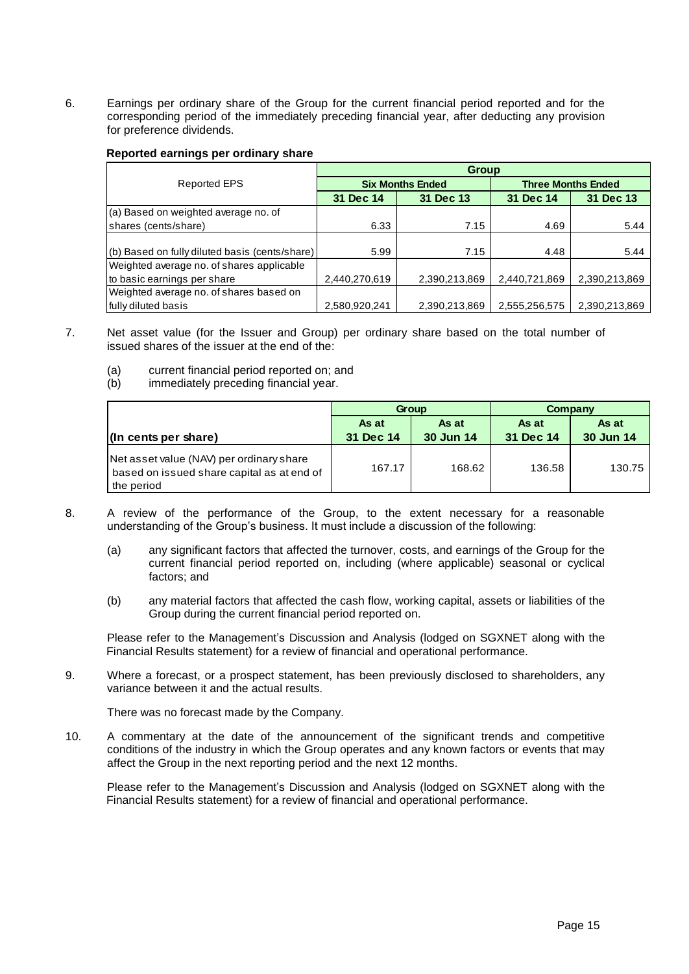6. Earnings per ordinary share of the Group for the current financial period reported and for the corresponding period of the immediately preceding financial year, after deducting any provision for preference dividends.

#### **Reported earnings per ordinary share**

|                                                | <b>Group</b>  |                         |                           |               |  |  |  |  |  |
|------------------------------------------------|---------------|-------------------------|---------------------------|---------------|--|--|--|--|--|
| <b>Reported EPS</b>                            |               | <b>Six Months Ended</b> | <b>Three Months Ended</b> |               |  |  |  |  |  |
|                                                | 31 Dec 14     | 31 Dec 13               | 31 Dec 14                 | 31 Dec 13     |  |  |  |  |  |
| (a) Based on weighted average no. of           |               |                         |                           |               |  |  |  |  |  |
| shares (cents/share)                           | 6.33          | 7.15                    | 4.69                      | 5.44          |  |  |  |  |  |
|                                                |               |                         |                           |               |  |  |  |  |  |
| (b) Based on fully diluted basis (cents/share) | 5.99          | 7.15                    | 4.48                      | 5.44          |  |  |  |  |  |
| Weighted average no. of shares applicable      |               |                         |                           |               |  |  |  |  |  |
| to basic earnings per share                    | 2,440,270,619 | 2,390,213,869           | 2,440,721,869             | 2,390,213,869 |  |  |  |  |  |
| Weighted average no. of shares based on        |               |                         |                           |               |  |  |  |  |  |
| fully diluted basis                            | 2,580,920,241 | 2,390,213,869           | 2,555,256,575             | 2,390,213,869 |  |  |  |  |  |

- 7. Net asset value (for the Issuer and Group) per ordinary share based on the total number of issued shares of the issuer at the end of the:
	- (a) current financial period reported on; and<br>(b) immediately preceding financial year.
	- immediately preceding financial year.

|                                                                                                      |           | Group     | Company   |           |  |
|------------------------------------------------------------------------------------------------------|-----------|-----------|-----------|-----------|--|
|                                                                                                      | As at     | As at     | As at     | As at     |  |
| (In cents per share)                                                                                 | 31 Dec 14 | 30 Jun 14 | 31 Dec 14 | 30 Jun 14 |  |
| Net asset value (NAV) per ordinary share<br>based on issued share capital as at end of<br>the period | 167.17    | 168.62    | 136.58    | 130.75    |  |

- 8. A review of the performance of the Group, to the extent necessary for a reasonable understanding of the Group's business. It must include a discussion of the following:
	- (a) any significant factors that affected the turnover, costs, and earnings of the Group for the current financial period reported on, including (where applicable) seasonal or cyclical factors; and
	- (b) any material factors that affected the cash flow, working capital, assets or liabilities of the Group during the current financial period reported on.

Please refer to the Management's Discussion and Analysis (lodged on SGXNET along with the Financial Results statement) for a review of financial and operational performance.

9. Where a forecast, or a prospect statement, has been previously disclosed to shareholders, any variance between it and the actual results.

There was no forecast made by the Company.

10. A commentary at the date of the announcement of the significant trends and competitive conditions of the industry in which the Group operates and any known factors or events that may affect the Group in the next reporting period and the next 12 months.

Please refer to the Management's Discussion and Analysis (lodged on SGXNET along with the Financial Results statement) for a review of financial and operational performance.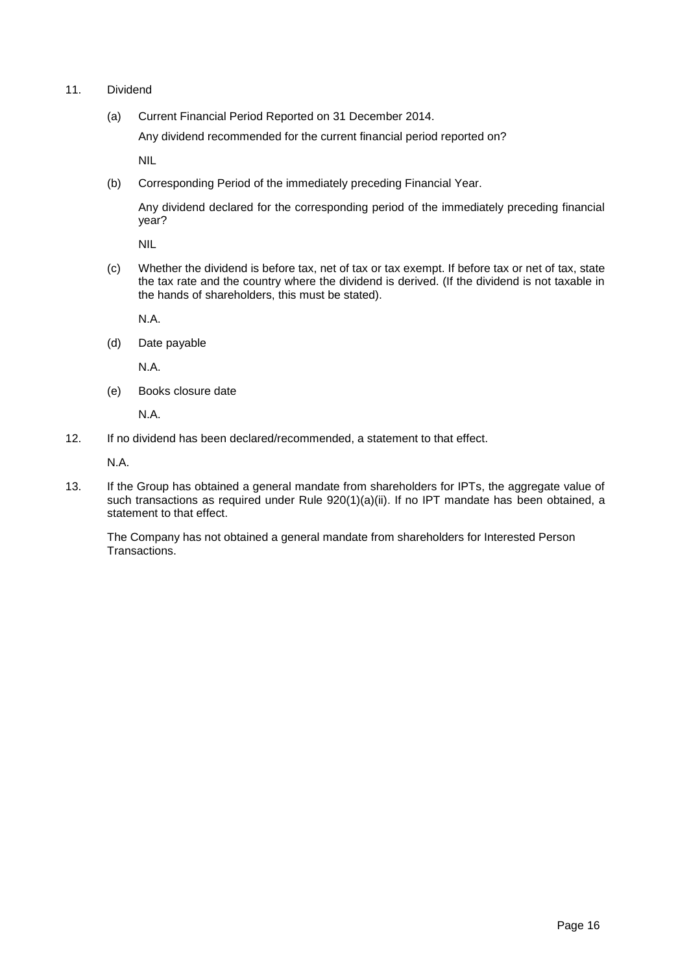- 11. Dividend
	- (a) Current Financial Period Reported on 31 December 2014.

Any dividend recommended for the current financial period reported on?

NIL

(b) Corresponding Period of the immediately preceding Financial Year.

Any dividend declared for the corresponding period of the immediately preceding financial year?

NIL

(c) Whether the dividend is before tax, net of tax or tax exempt. If before tax or net of tax, state the tax rate and the country where the dividend is derived. (If the dividend is not taxable in the hands of shareholders, this must be stated).

N.A.

(d) Date payable

N.A.

(e) Books closure date

N.A.

12. If no dividend has been declared/recommended, a statement to that effect.

N.A.

13. If the Group has obtained a general mandate from shareholders for IPTs, the aggregate value of such transactions as required under Rule 920(1)(a)(ii). If no IPT mandate has been obtained, a statement to that effect.

The Company has not obtained a general mandate from shareholders for Interested Person Transactions.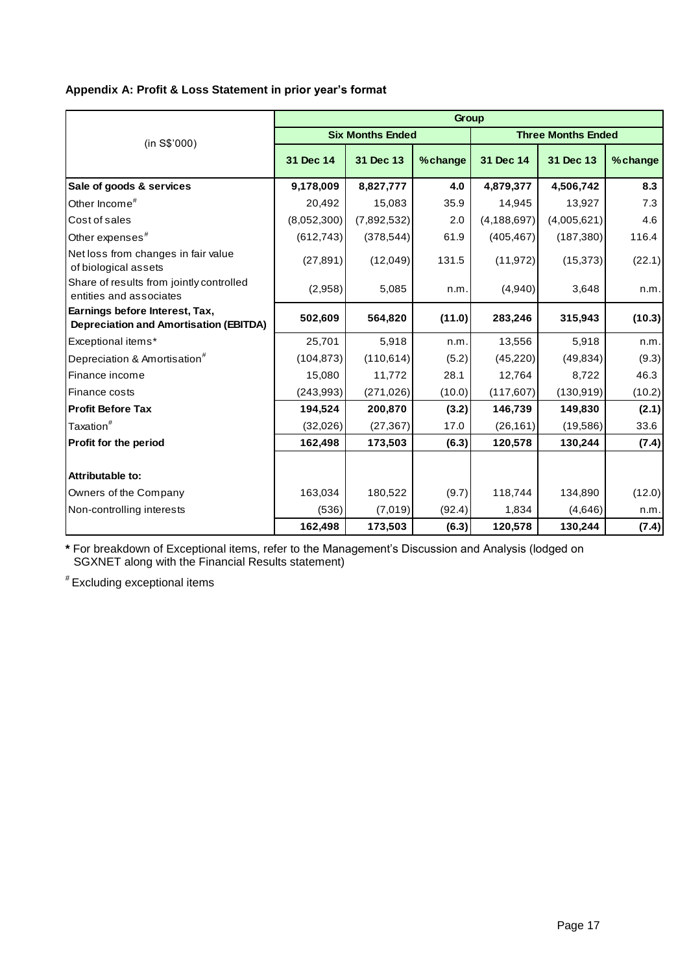# **Appendix A: Profit & Loss Statement in prior year's format**

|                                                                                 | Group       |                         |         |                           |             |         |  |  |  |  |
|---------------------------------------------------------------------------------|-------------|-------------------------|---------|---------------------------|-------------|---------|--|--|--|--|
| (in S\$'000)                                                                    |             | <b>Six Months Ended</b> |         | <b>Three Months Ended</b> |             |         |  |  |  |  |
|                                                                                 | 31 Dec 14   | 31 Dec 13               | %change | 31 Dec 14                 | 31 Dec 13   | %change |  |  |  |  |
| Sale of goods & services                                                        | 9,178,009   | 8,827,777               | 4.0     | 4,879,377                 | 4,506,742   | 8.3     |  |  |  |  |
| Other Income <sup>#</sup>                                                       | 20,492      | 15,083                  | 35.9    | 14,945                    | 13,927      | 7.3     |  |  |  |  |
| Cost of sales                                                                   | (8,052,300) | (7,892,532)             | 2.0     | (4, 188, 697)             | (4,005,621) | 4.6     |  |  |  |  |
| Other expenses <sup>#</sup>                                                     | (612, 743)  | (378, 544)              | 61.9    | (405, 467)                | (187, 380)  | 116.4   |  |  |  |  |
| Net loss from changes in fair value<br>of biological assets                     | (27, 891)   | (12,049)                | 131.5   | (11, 972)                 | (15, 373)   | (22.1)  |  |  |  |  |
| Share of results from jointly controlled<br>entities and associates             | (2,958)     | 5,085                   | n.m.    | (4,940)                   | 3,648       | n.m.    |  |  |  |  |
| Earnings before Interest, Tax,<br><b>Depreciation and Amortisation (EBITDA)</b> | 502,609     | 564,820                 | (11.0)  | 283,246                   | 315,943     | (10.3)  |  |  |  |  |
| Exceptional items*                                                              | 25,701      | 5,918                   | n.m.    | 13,556                    | 5,918       | n.m.    |  |  |  |  |
| Depreciation & Amortisation <sup>#</sup>                                        | (104, 873)  | (110, 614)              | (5.2)   | (45, 220)                 | (49, 834)   | (9.3)   |  |  |  |  |
| Finance income                                                                  | 15,080      | 11,772                  | 28.1    | 12,764                    | 8,722       | 46.3    |  |  |  |  |
| Finance costs                                                                   | (243, 993)  | (271, 026)              | (10.0)  | (117, 607)                | (130, 919)  | (10.2)  |  |  |  |  |
| <b>Profit Before Tax</b>                                                        | 194,524     | 200,870                 | (3.2)   | 146,739                   | 149,830     | (2.1)   |  |  |  |  |
| Taxation <sup>#</sup>                                                           | (32,026)    | (27, 367)               | 17.0    | (26, 161)                 | (19, 586)   | 33.6    |  |  |  |  |
| Profit for the period                                                           | 162,498     | 173,503                 | (6.3)   | 120,578                   | 130,244     | (7.4)   |  |  |  |  |
| Attributable to:                                                                |             |                         |         |                           |             |         |  |  |  |  |
| Owners of the Company                                                           | 163,034     | 180,522                 | (9.7)   | 118,744                   | 134,890     | (12.0)  |  |  |  |  |
| Non-controlling interests                                                       | (536)       | (7,019)                 | (92.4)  | 1,834                     | (4,646)     | n.m.    |  |  |  |  |
|                                                                                 | 162,498     | 173,503                 | (6.3)   | 120,578                   | 130,244     | (7.4)   |  |  |  |  |

**\*** For breakdown of Exceptional items, refer to the Management's Discussion and Analysis (lodged on SGXNET along with the Financial Results statement)

# Excluding exceptional items